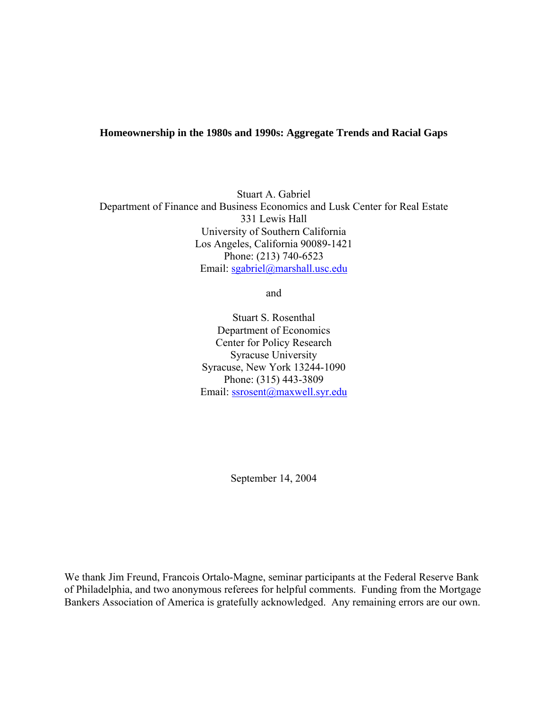## **Homeownership in the 1980s and 1990s: Aggregate Trends and Racial Gaps**

Stuart A. Gabriel Department of Finance and Business Economics and Lusk Center for Real Estate 331 Lewis Hall University of Southern California Los Angeles, California 90089-1421 Phone: (213) 740-6523 Email: sgabriel@marshall.usc.edu

and

Stuart S. Rosenthal Department of Economics Center for Policy Research Syracuse University Syracuse, New York 13244-1090 Phone: (315) 443-3809 Email: ssrosent@maxwell.syr.edu

September 14, 2004

We thank Jim Freund, Francois Ortalo-Magne, seminar participants at the Federal Reserve Bank of Philadelphia, and two anonymous referees for helpful comments. Funding from the Mortgage Bankers Association of America is gratefully acknowledged. Any remaining errors are our own.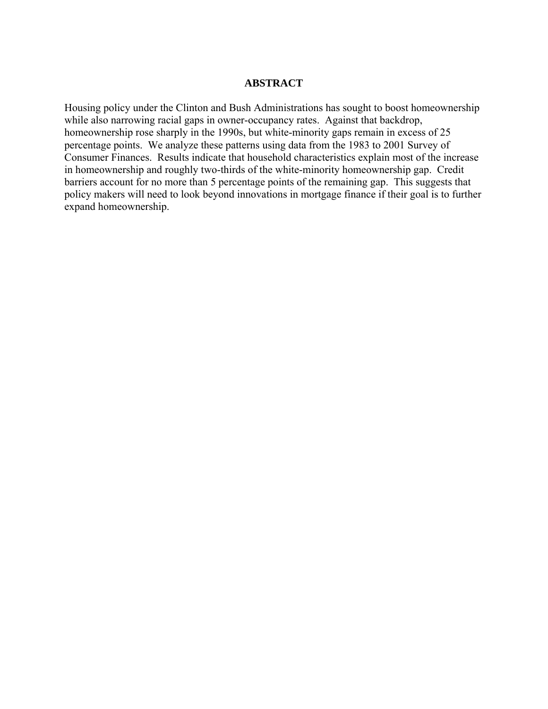## **ABSTRACT**

Housing policy under the Clinton and Bush Administrations has sought to boost homeownership while also narrowing racial gaps in owner-occupancy rates. Against that backdrop, homeownership rose sharply in the 1990s, but white-minority gaps remain in excess of 25 percentage points. We analyze these patterns using data from the 1983 to 2001 Survey of Consumer Finances. Results indicate that household characteristics explain most of the increase in homeownership and roughly two-thirds of the white-minority homeownership gap. Credit barriers account for no more than 5 percentage points of the remaining gap. This suggests that policy makers will need to look beyond innovations in mortgage finance if their goal is to further expand homeownership.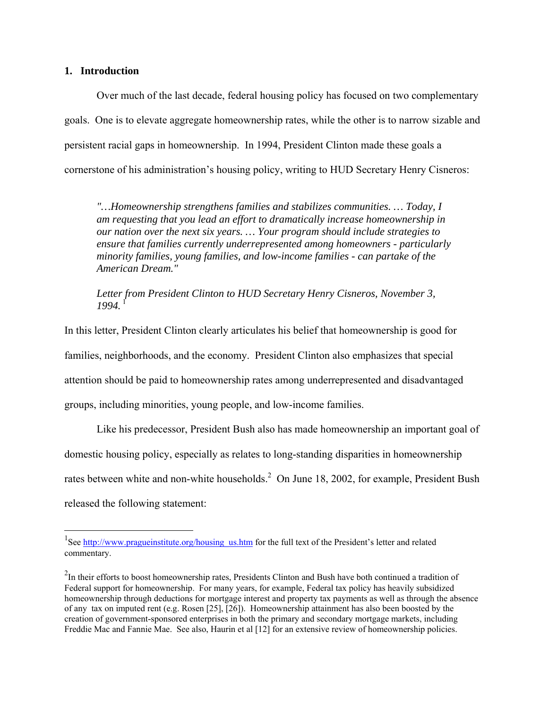## **1. Introduction**

 $\overline{a}$ 

 Over much of the last decade, federal housing policy has focused on two complementary goals. One is to elevate aggregate homeownership rates, while the other is to narrow sizable and persistent racial gaps in homeownership. In 1994, President Clinton made these goals a cornerstone of his administration's housing policy, writing to HUD Secretary Henry Cisneros:

*"…Homeownership strengthens families and stabilizes communities. … Today, I am requesting that you lead an effort to dramatically increase homeownership in our nation over the next six years. … Your program should include strategies to ensure that families currently underrepresented among homeowners - particularly minority families, young families, and low-income families - can partake of the American Dream."* 

*Letter from President Clinton to HUD Secretary Henry Cisneros, November 3, 1994.*<sup>1</sup>

In this letter, President Clinton clearly articulates his belief that homeownership is good for families, neighborhoods, and the economy. President Clinton also emphasizes that special attention should be paid to homeownership rates among underrepresented and disadvantaged groups, including minorities, young people, and low-income families.

 Like his predecessor, President Bush also has made homeownership an important goal of domestic housing policy, especially as relates to long-standing disparities in homeownership rates between white and non-white households. $^2$  On June 18, 2002, for example, President Bush released the following statement:

<sup>&</sup>lt;sup>1</sup>See http://www.pragueinstitute.org/housing us.htm for the full text of the President's letter and related commentary.

 $2<sup>2</sup>$ In their efforts to boost homeownership rates, Presidents Clinton and Bush have both continued a tradition of Federal support for homeownership. For many years, for example, Federal tax policy has heavily subsidized homeownership through deductions for mortgage interest and property tax payments as well as through the absence of any tax on imputed rent (e.g. Rosen [25], [26]). Homeownership attainment has also been boosted by the creation of government-sponsored enterprises in both the primary and secondary mortgage markets, including Freddie Mac and Fannie Mae. See also, Haurin et al [12] for an extensive review of homeownership policies.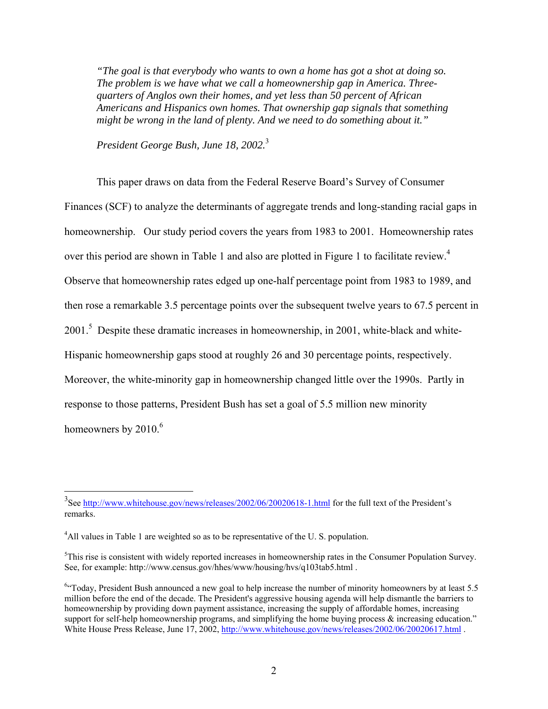*"The goal is that everybody who wants to own a home has got a shot at doing so. The problem is we have what we call a homeownership gap in America. Threequarters of Anglos own their homes, and yet less than 50 percent of African Americans and Hispanics own homes. That ownership gap signals that something might be wrong in the land of plenty. And we need to do something about it."* 

*President George Bush, June 18, 2002.*<sup>3</sup>

 This paper draws on data from the Federal Reserve Board's Survey of Consumer Finances (SCF) to analyze the determinants of aggregate trends and long-standing racial gaps in homeownership. Our study period covers the years from 1983 to 2001. Homeownership rates over this period are shown in Table 1 and also are plotted in Figure 1 to facilitate review.<sup>4</sup> Observe that homeownership rates edged up one-half percentage point from 1983 to 1989, and then rose a remarkable 3.5 percentage points over the subsequent twelve years to 67.5 percent in 2001.<sup>5</sup> Despite these dramatic increases in homeownership, in 2001, white-black and white-Hispanic homeownership gaps stood at roughly 26 and 30 percentage points, respectively. Moreover, the white-minority gap in homeownership changed little over the 1990s. Partly in response to those patterns, President Bush has set a goal of 5.5 million new minority homeowners by  $2010<sup>6</sup>$ 

 $\overline{a}$ 

<sup>&</sup>lt;sup>3</sup>See http://www.whitehouse.gov/news/releases/2002/06/20020618-1.html for the full text of the President's remarks.

<sup>&</sup>lt;sup>4</sup>All values in Table 1 are weighted so as to be representative of the U.S. population.

<sup>&</sup>lt;sup>5</sup>This rise is consistent with widely reported increases in homeownership rates in the Consumer Population Survey. See, for example: http://www.census.gov/hhes/www/housing/hvs/q103tab5.html .

<sup>&</sup>lt;sup>6</sup>"Today, President Bush announced a new goal to help increase the number of minority homeowners by at least 5.5 million before the end of the decade. The President's aggressive housing agenda will help dismantle the barriers to homeownership by providing down payment assistance, increasing the supply of affordable homes, increasing support for self-help homeownership programs, and simplifying the home buying process & increasing education." White House Press Release, June 17, 2002, http://www.whitehouse.gov/news/releases/2002/06/20020617.html .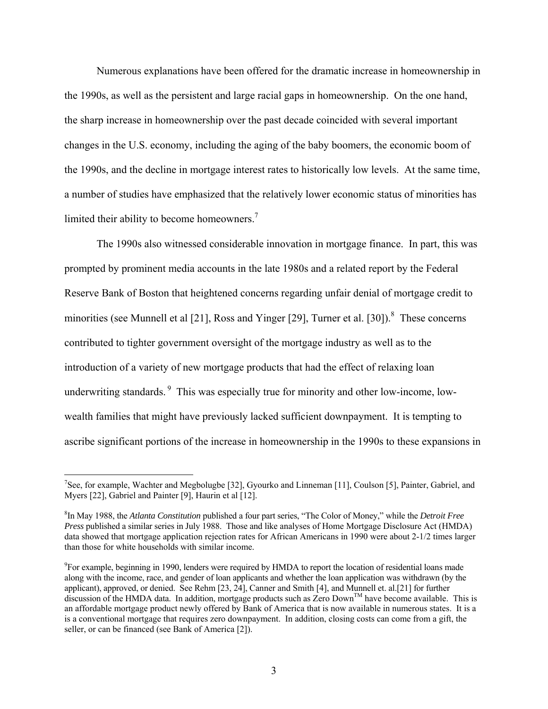Numerous explanations have been offered for the dramatic increase in homeownership in the 1990s, as well as the persistent and large racial gaps in homeownership. On the one hand, the sharp increase in homeownership over the past decade coincided with several important changes in the U.S. economy, including the aging of the baby boomers, the economic boom of the 1990s, and the decline in mortgage interest rates to historically low levels. At the same time, a number of studies have emphasized that the relatively lower economic status of minorities has limited their ability to become homeowners. $<sup>7</sup>$ </sup>

 The 1990s also witnessed considerable innovation in mortgage finance. In part, this was prompted by prominent media accounts in the late 1980s and a related report by the Federal Reserve Bank of Boston that heightened concerns regarding unfair denial of mortgage credit to minorities (see Munnell et al  $[21]$ , Ross and Yinger  $[29]$ , Turner et al.  $[30]$ ).<sup>8</sup> These concerns contributed to tighter government oversight of the mortgage industry as well as to the introduction of a variety of new mortgage products that had the effect of relaxing loan underwriting standards.<sup>9</sup> This was especially true for minority and other low-income, lowwealth families that might have previously lacked sufficient downpayment. It is tempting to ascribe significant portions of the increase in homeownership in the 1990s to these expansions in

1

<sup>&</sup>lt;sup>7</sup>See, for example, Wachter and Megbolugbe [32], Gyourko and Linneman [11], Coulson [5], Painter, Gabriel, and Myers [22], Gabriel and Painter [9], Haurin et al [12].

<sup>8</sup> In May 1988, the *Atlanta Constitution* published a four part series, "The Color of Money," while the *Detroit Free Press* published a similar series in July 1988. Those and like analyses of Home Mortgage Disclosure Act (HMDA) data showed that mortgage application rejection rates for African Americans in 1990 were about 2-1/2 times larger than those for white households with similar income.

<sup>&</sup>lt;sup>9</sup>For example, beginning in 1990, lenders were required by HMDA to report the location of residential loans made along with the income, race, and gender of loan applicants and whether the loan application was withdrawn (by the applicant), approved, or denied. See Rehm [23, 24], Canner and Smith [4], and Munnell et. al.[21] for further discussion of the HMDA data. In addition, mortgage products such as Zero Down<sup>TM</sup> have become available. This is an affordable mortgage product newly offered by Bank of America that is now available in numerous states. It is a is a conventional mortgage that requires zero downpayment. In addition, closing costs can come from a gift, the seller, or can be financed (see Bank of America [2]).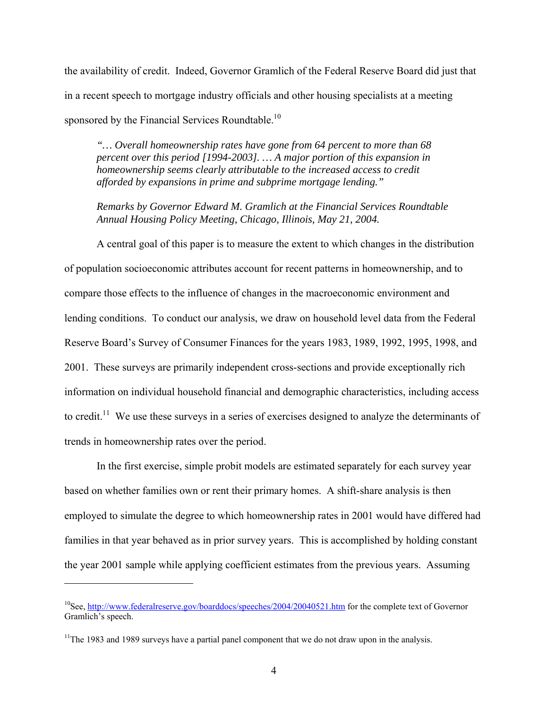the availability of credit. Indeed, Governor Gramlich of the Federal Reserve Board did just that in a recent speech to mortgage industry officials and other housing specialists at a meeting sponsored by the Financial Services Roundtable.<sup>10</sup>

*"… Overall homeownership rates have gone from 64 percent to more than 68 percent over this period [1994-2003]. … A major portion of this expansion in homeownership seems clearly attributable to the increased access to credit afforded by expansions in prime and subprime mortgage lending."* 

*Remarks by Governor Edward M. Gramlich at the Financial Services Roundtable Annual Housing Policy Meeting, Chicago, Illinois, May 21, 2004.* 

A central goal of this paper is to measure the extent to which changes in the distribution of population socioeconomic attributes account for recent patterns in homeownership, and to compare those effects to the influence of changes in the macroeconomic environment and lending conditions. To conduct our analysis, we draw on household level data from the Federal Reserve Board's Survey of Consumer Finances for the years 1983, 1989, 1992, 1995, 1998, and 2001. These surveys are primarily independent cross-sections and provide exceptionally rich information on individual household financial and demographic characteristics, including access to credit.<sup>11</sup> We use these surveys in a series of exercises designed to analyze the determinants of trends in homeownership rates over the period.

In the first exercise, simple probit models are estimated separately for each survey year based on whether families own or rent their primary homes. A shift-share analysis is then employed to simulate the degree to which homeownership rates in 2001 would have differed had families in that year behaved as in prior survey years. This is accomplished by holding constant the year 2001 sample while applying coefficient estimates from the previous years. Assuming

<u>.</u>

<sup>&</sup>lt;sup>10</sup>See, http://www.federalreserve.gov/boarddocs/speeches/2004/20040521.htm for the complete text of Governor Gramlich's speech.

<sup>&</sup>lt;sup>11</sup>The 1983 and 1989 surveys have a partial panel component that we do not draw upon in the analysis.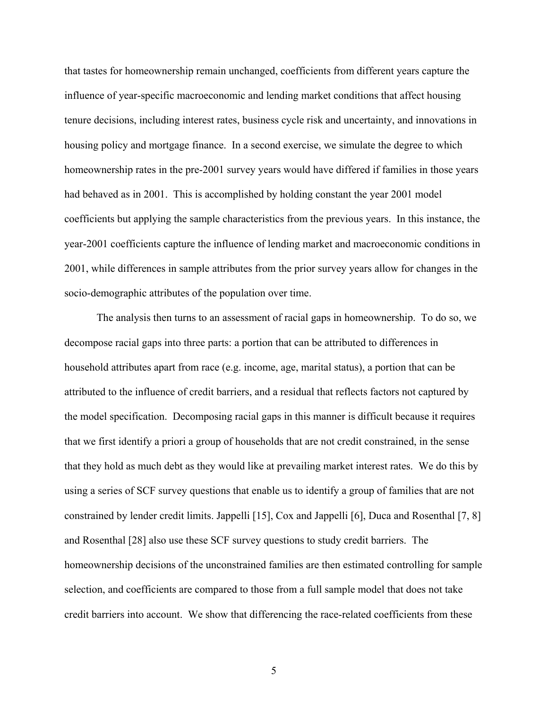that tastes for homeownership remain unchanged, coefficients from different years capture the influence of year-specific macroeconomic and lending market conditions that affect housing tenure decisions, including interest rates, business cycle risk and uncertainty, and innovations in housing policy and mortgage finance. In a second exercise, we simulate the degree to which homeownership rates in the pre-2001 survey years would have differed if families in those years had behaved as in 2001. This is accomplished by holding constant the year 2001 model coefficients but applying the sample characteristics from the previous years. In this instance, the year-2001 coefficients capture the influence of lending market and macroeconomic conditions in 2001, while differences in sample attributes from the prior survey years allow for changes in the socio-demographic attributes of the population over time.

The analysis then turns to an assessment of racial gaps in homeownership. To do so, we decompose racial gaps into three parts: a portion that can be attributed to differences in household attributes apart from race (e.g. income, age, marital status), a portion that can be attributed to the influence of credit barriers, and a residual that reflects factors not captured by the model specification. Decomposing racial gaps in this manner is difficult because it requires that we first identify a priori a group of households that are not credit constrained, in the sense that they hold as much debt as they would like at prevailing market interest rates. We do this by using a series of SCF survey questions that enable us to identify a group of families that are not constrained by lender credit limits. Jappelli [15], Cox and Jappelli [6], Duca and Rosenthal [7, 8] and Rosenthal [28] also use these SCF survey questions to study credit barriers. The homeownership decisions of the unconstrained families are then estimated controlling for sample selection, and coefficients are compared to those from a full sample model that does not take credit barriers into account. We show that differencing the race-related coefficients from these

5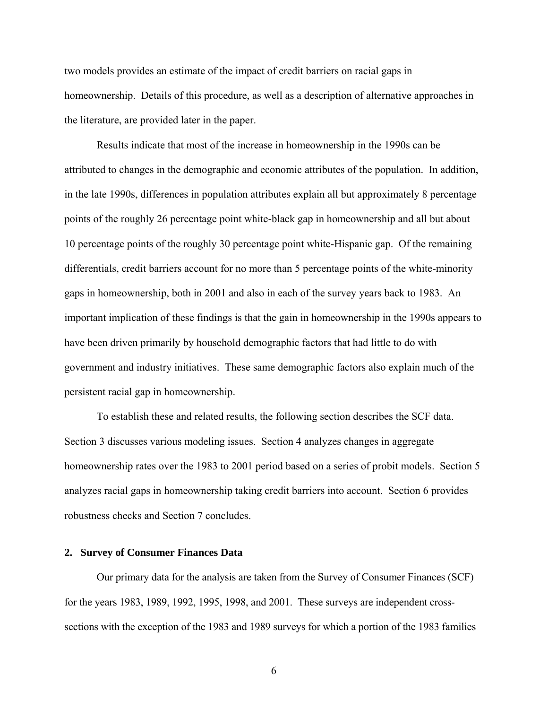two models provides an estimate of the impact of credit barriers on racial gaps in homeownership. Details of this procedure, as well as a description of alternative approaches in the literature, are provided later in the paper.

Results indicate that most of the increase in homeownership in the 1990s can be attributed to changes in the demographic and economic attributes of the population. In addition, in the late 1990s, differences in population attributes explain all but approximately 8 percentage points of the roughly 26 percentage point white-black gap in homeownership and all but about 10 percentage points of the roughly 30 percentage point white-Hispanic gap. Of the remaining differentials, credit barriers account for no more than 5 percentage points of the white-minority gaps in homeownership, both in 2001 and also in each of the survey years back to 1983. An important implication of these findings is that the gain in homeownership in the 1990s appears to have been driven primarily by household demographic factors that had little to do with government and industry initiatives. These same demographic factors also explain much of the persistent racial gap in homeownership.

To establish these and related results, the following section describes the SCF data. Section 3 discusses various modeling issues. Section 4 analyzes changes in aggregate homeownership rates over the 1983 to 2001 period based on a series of probit models. Section 5 analyzes racial gaps in homeownership taking credit barriers into account. Section 6 provides robustness checks and Section 7 concludes.

### **2. Survey of Consumer Finances Data**

 Our primary data for the analysis are taken from the Survey of Consumer Finances (SCF) for the years 1983, 1989, 1992, 1995, 1998, and 2001. These surveys are independent crosssections with the exception of the 1983 and 1989 surveys for which a portion of the 1983 families

6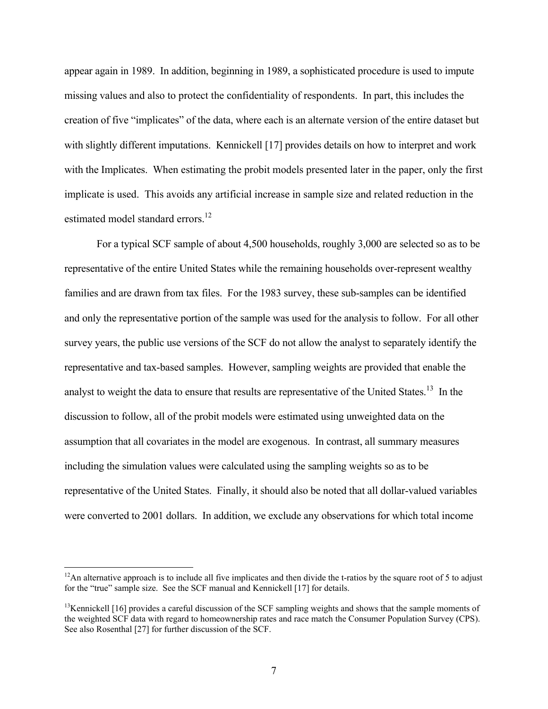appear again in 1989. In addition, beginning in 1989, a sophisticated procedure is used to impute missing values and also to protect the confidentiality of respondents. In part, this includes the creation of five "implicates" of the data, where each is an alternate version of the entire dataset but with slightly different imputations. Kennickell [17] provides details on how to interpret and work with the Implicates. When estimating the probit models presented later in the paper, only the first implicate is used. This avoids any artificial increase in sample size and related reduction in the estimated model standard errors.<sup>12</sup>

 For a typical SCF sample of about 4,500 households, roughly 3,000 are selected so as to be representative of the entire United States while the remaining households over-represent wealthy families and are drawn from tax files. For the 1983 survey, these sub-samples can be identified and only the representative portion of the sample was used for the analysis to follow. For all other survey years, the public use versions of the SCF do not allow the analyst to separately identify the representative and tax-based samples. However, sampling weights are provided that enable the analyst to weight the data to ensure that results are representative of the United States.<sup>13</sup> In the discussion to follow, all of the probit models were estimated using unweighted data on the assumption that all covariates in the model are exogenous. In contrast, all summary measures including the simulation values were calculated using the sampling weights so as to be representative of the United States. Finally, it should also be noted that all dollar-valued variables were converted to 2001 dollars. In addition, we exclude any observations for which total income

 $\overline{a}$ 

 $12$ An alternative approach is to include all five implicates and then divide the t-ratios by the square root of 5 to adjust for the "true" sample size. See the SCF manual and Kennickell [17] for details.

<sup>&</sup>lt;sup>13</sup>Kennickell [16] provides a careful discussion of the SCF sampling weights and shows that the sample moments of the weighted SCF data with regard to homeownership rates and race match the Consumer Population Survey (CPS). See also Rosenthal [27] for further discussion of the SCF.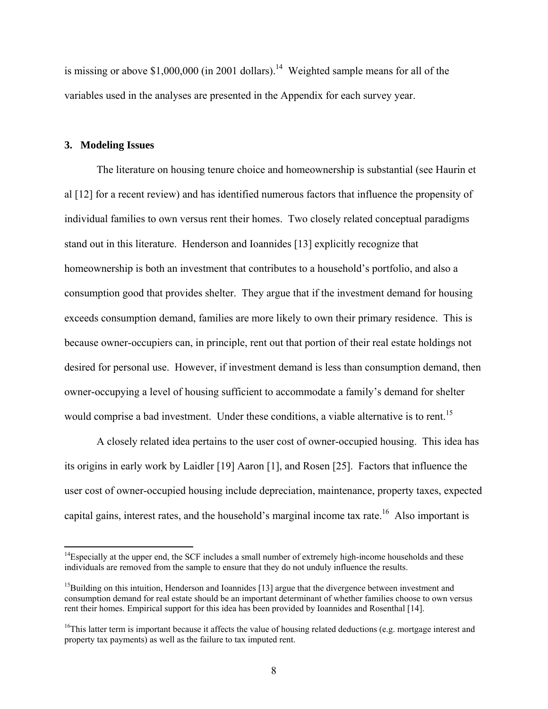is missing or above  $$1,000,000$  (in 2001 dollars).<sup>14</sup> Weighted sample means for all of the variables used in the analyses are presented in the Appendix for each survey year.

## **3. Modeling Issues**

 $\overline{a}$ 

 The literature on housing tenure choice and homeownership is substantial (see Haurin et al [12] for a recent review) and has identified numerous factors that influence the propensity of individual families to own versus rent their homes. Two closely related conceptual paradigms stand out in this literature. Henderson and Ioannides [13] explicitly recognize that homeownership is both an investment that contributes to a household's portfolio, and also a consumption good that provides shelter. They argue that if the investment demand for housing exceeds consumption demand, families are more likely to own their primary residence. This is because owner-occupiers can, in principle, rent out that portion of their real estate holdings not desired for personal use. However, if investment demand is less than consumption demand, then owner-occupying a level of housing sufficient to accommodate a family's demand for shelter would comprise a bad investment. Under these conditions, a viable alternative is to rent.<sup>15</sup>

A closely related idea pertains to the user cost of owner-occupied housing. This idea has its origins in early work by Laidler [19] Aaron [1], and Rosen [25]. Factors that influence the user cost of owner-occupied housing include depreciation, maintenance, property taxes, expected capital gains, interest rates, and the household's marginal income tax rate.<sup>16</sup> Also important is

<sup>&</sup>lt;sup>14</sup>Especially at the upper end, the SCF includes a small number of extremely high-income households and these individuals are removed from the sample to ensure that they do not unduly influence the results.

 $<sup>15</sup>Building on this intuition, Henderson and Ioannides [13] argue that the divergence between investment and$ </sup> consumption demand for real estate should be an important determinant of whether families choose to own versus rent their homes. Empirical support for this idea has been provided by Ioannides and Rosenthal [14].

 $16$ This latter term is important because it affects the value of housing related deductions (e.g. mortgage interest and property tax payments) as well as the failure to tax imputed rent.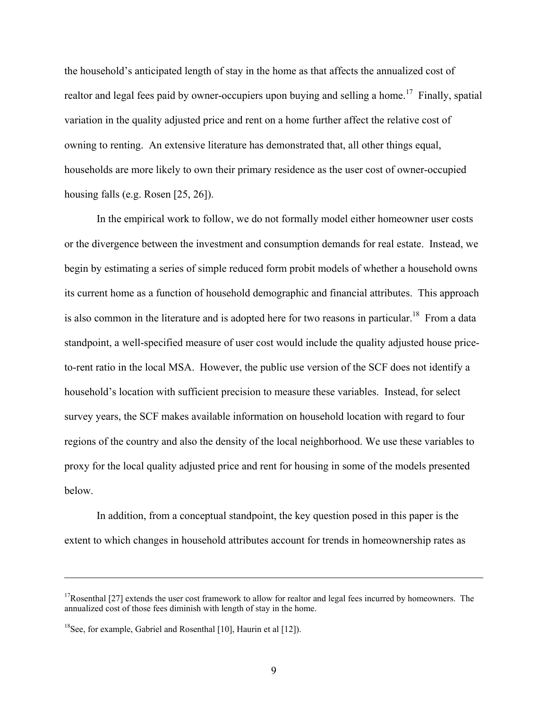the household's anticipated length of stay in the home as that affects the annualized cost of realtor and legal fees paid by owner-occupiers upon buying and selling a home.<sup>17</sup> Finally, spatial variation in the quality adjusted price and rent on a home further affect the relative cost of owning to renting. An extensive literature has demonstrated that, all other things equal, households are more likely to own their primary residence as the user cost of owner-occupied housing falls (e.g. Rosen [25, 26]).

In the empirical work to follow, we do not formally model either homeowner user costs or the divergence between the investment and consumption demands for real estate. Instead, we begin by estimating a series of simple reduced form probit models of whether a household owns its current home as a function of household demographic and financial attributes. This approach is also common in the literature and is adopted here for two reasons in particular.<sup>18</sup> From a data standpoint, a well-specified measure of user cost would include the quality adjusted house priceto-rent ratio in the local MSA. However, the public use version of the SCF does not identify a household's location with sufficient precision to measure these variables. Instead, for select survey years, the SCF makes available information on household location with regard to four regions of the country and also the density of the local neighborhood. We use these variables to proxy for the local quality adjusted price and rent for housing in some of the models presented below.

In addition, from a conceptual standpoint, the key question posed in this paper is the extent to which changes in household attributes account for trends in homeownership rates as

1

9

 $17$ Rosenthal [27] extends the user cost framework to allow for realtor and legal fees incurred by homeowners. The annualized cost of those fees diminish with length of stay in the home.

<sup>&</sup>lt;sup>18</sup>See, for example, Gabriel and Rosenthal [10], Haurin et al [12]).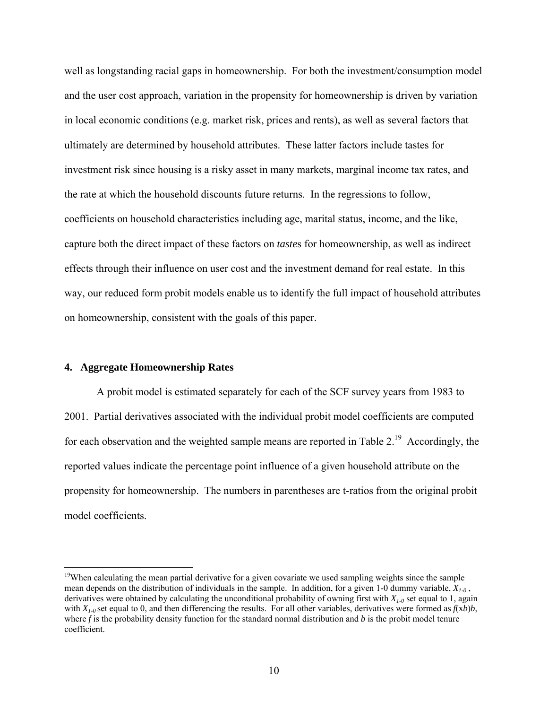well as longstanding racial gaps in homeownership. For both the investment/consumption model and the user cost approach, variation in the propensity for homeownership is driven by variation in local economic conditions (e.g. market risk, prices and rents), as well as several factors that ultimately are determined by household attributes. These latter factors include tastes for investment risk since housing is a risky asset in many markets, marginal income tax rates, and the rate at which the household discounts future returns. In the regressions to follow, coefficients on household characteristics including age, marital status, income, and the like, capture both the direct impact of these factors on *taste*s for homeownership, as well as indirect effects through their influence on user cost and the investment demand for real estate. In this way, our reduced form probit models enable us to identify the full impact of household attributes on homeownership, consistent with the goals of this paper.

## **4. Aggregate Homeownership Rates**

 $\overline{a}$ 

A probit model is estimated separately for each of the SCF survey years from 1983 to 2001. Partial derivatives associated with the individual probit model coefficients are computed for each observation and the weighted sample means are reported in Table  $2.^{19}$ . Accordingly, the reported values indicate the percentage point influence of a given household attribute on the propensity for homeownership. The numbers in parentheses are t-ratios from the original probit model coefficients.

<sup>&</sup>lt;sup>19</sup>When calculating the mean partial derivative for a given covariate we used sampling weights since the sample mean depends on the distribution of individuals in the sample. In addition, for a given 1-0 dummy variable,  $X_{1-0}$ , derivatives were obtained by calculating the unconditional probability of owning first with *X1-0* set equal to 1, again with  $X_{1-0}$  set equal to 0, and then differencing the results. For all other variables, derivatives were formed as  $f(xb)b$ , where *f* is the probability density function for the standard normal distribution and *b* is the probit model tenure coefficient.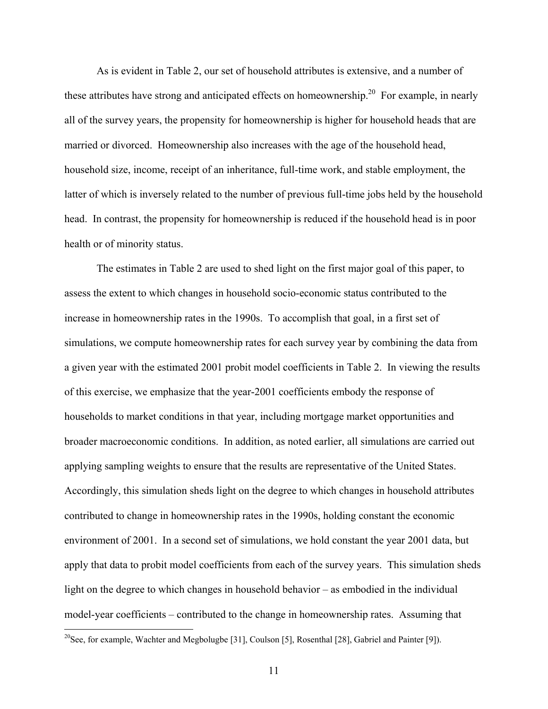As is evident in Table 2, our set of household attributes is extensive, and a number of these attributes have strong and anticipated effects on homeownership.<sup>20</sup> For example, in nearly all of the survey years, the propensity for homeownership is higher for household heads that are married or divorced. Homeownership also increases with the age of the household head, household size, income, receipt of an inheritance, full-time work, and stable employment, the latter of which is inversely related to the number of previous full-time jobs held by the household head. In contrast, the propensity for homeownership is reduced if the household head is in poor health or of minority status.

 The estimates in Table 2 are used to shed light on the first major goal of this paper, to assess the extent to which changes in household socio-economic status contributed to the increase in homeownership rates in the 1990s. To accomplish that goal, in a first set of simulations, we compute homeownership rates for each survey year by combining the data from a given year with the estimated 2001 probit model coefficients in Table 2. In viewing the results of this exercise, we emphasize that the year-2001 coefficients embody the response of households to market conditions in that year, including mortgage market opportunities and broader macroeconomic conditions. In addition, as noted earlier, all simulations are carried out applying sampling weights to ensure that the results are representative of the United States. Accordingly, this simulation sheds light on the degree to which changes in household attributes contributed to change in homeownership rates in the 1990s, holding constant the economic environment of 2001. In a second set of simulations, we hold constant the year 2001 data, but apply that data to probit model coefficients from each of the survey years. This simulation sheds light on the degree to which changes in household behavior – as embodied in the individual model-year coefficients – contributed to the change in homeownership rates. Assuming that

 $\overline{a}$ 

<sup>&</sup>lt;sup>20</sup>See, for example, Wachter and Megbolugbe [31], Coulson [5], Rosenthal [28], Gabriel and Painter [9]).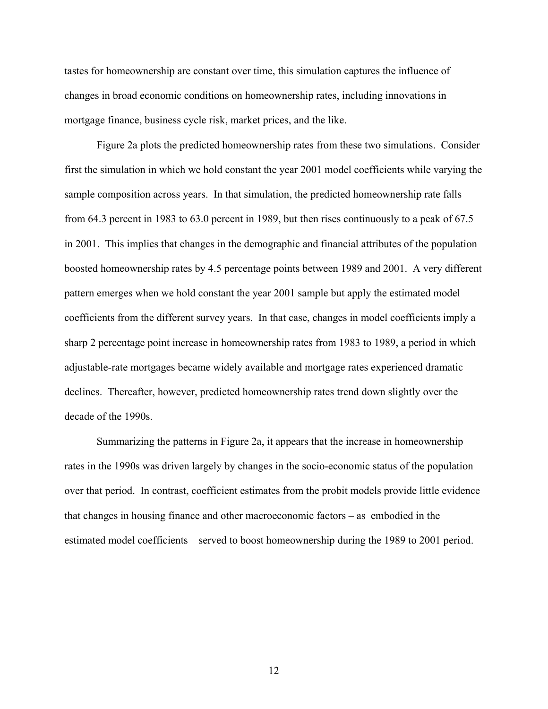tastes for homeownership are constant over time, this simulation captures the influence of changes in broad economic conditions on homeownership rates, including innovations in mortgage finance, business cycle risk, market prices, and the like.

 Figure 2a plots the predicted homeownership rates from these two simulations. Consider first the simulation in which we hold constant the year 2001 model coefficients while varying the sample composition across years. In that simulation, the predicted homeownership rate falls from 64.3 percent in 1983 to 63.0 percent in 1989, but then rises continuously to a peak of 67.5 in 2001. This implies that changes in the demographic and financial attributes of the population boosted homeownership rates by 4.5 percentage points between 1989 and 2001. A very different pattern emerges when we hold constant the year 2001 sample but apply the estimated model coefficients from the different survey years. In that case, changes in model coefficients imply a sharp 2 percentage point increase in homeownership rates from 1983 to 1989, a period in which adjustable-rate mortgages became widely available and mortgage rates experienced dramatic declines. Thereafter, however, predicted homeownership rates trend down slightly over the decade of the 1990s.

 Summarizing the patterns in Figure 2a, it appears that the increase in homeownership rates in the 1990s was driven largely by changes in the socio-economic status of the population over that period. In contrast, coefficient estimates from the probit models provide little evidence that changes in housing finance and other macroeconomic factors – as embodied in the estimated model coefficients – served to boost homeownership during the 1989 to 2001 period.

12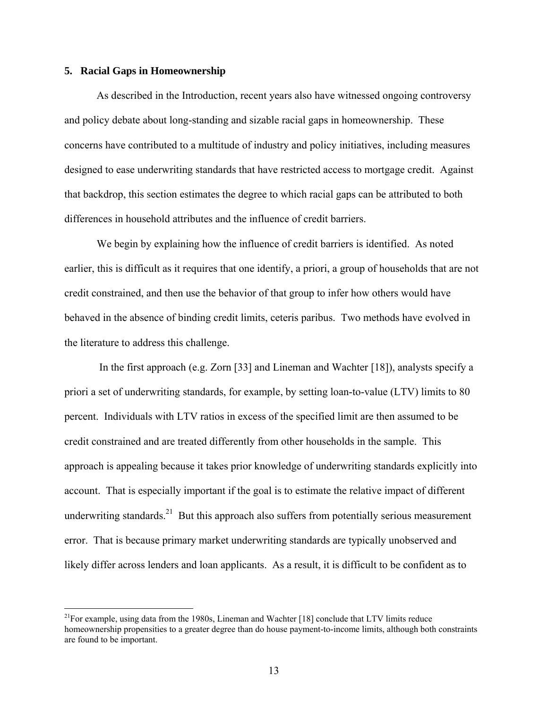## **5. Racial Gaps in Homeownership**

 $\overline{a}$ 

As described in the Introduction, recent years also have witnessed ongoing controversy and policy debate about long-standing and sizable racial gaps in homeownership. These concerns have contributed to a multitude of industry and policy initiatives, including measures designed to ease underwriting standards that have restricted access to mortgage credit. Against that backdrop, this section estimates the degree to which racial gaps can be attributed to both differences in household attributes and the influence of credit barriers.

 We begin by explaining how the influence of credit barriers is identified. As noted earlier, this is difficult as it requires that one identify, a priori, a group of households that are not credit constrained, and then use the behavior of that group to infer how others would have behaved in the absence of binding credit limits, ceteris paribus. Two methods have evolved in the literature to address this challenge.

 In the first approach (e.g. Zorn [33] and Lineman and Wachter [18]), analysts specify a priori a set of underwriting standards, for example, by setting loan-to-value (LTV) limits to 80 percent. Individuals with LTV ratios in excess of the specified limit are then assumed to be credit constrained and are treated differently from other households in the sample. This approach is appealing because it takes prior knowledge of underwriting standards explicitly into account. That is especially important if the goal is to estimate the relative impact of different underwriting standards.<sup>21</sup> But this approach also suffers from potentially serious measurement error. That is because primary market underwriting standards are typically unobserved and likely differ across lenders and loan applicants. As a result, it is difficult to be confident as to

<sup>&</sup>lt;sup>21</sup>For example, using data from the 1980s, Lineman and Wachter [18] conclude that LTV limits reduce homeownership propensities to a greater degree than do house payment-to-income limits, although both constraints are found to be important.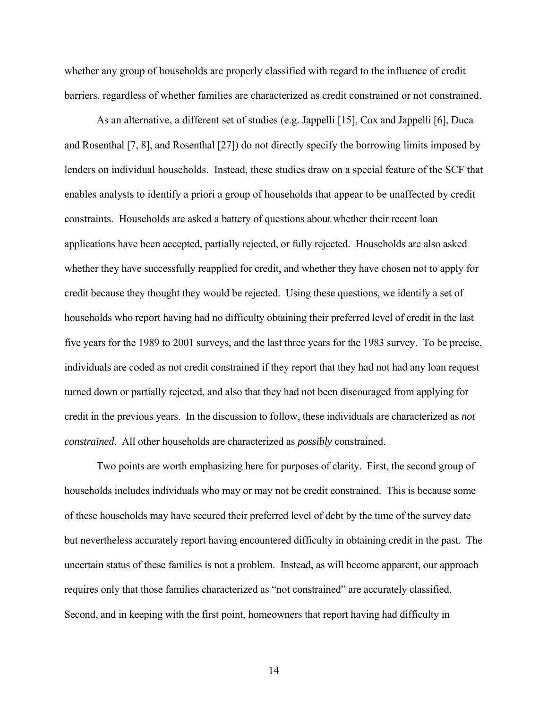whether any group of households are properly classified with regard to the influence of credit barriers, regardless of whether families are characterized as credit constrained or not constrained.

 As an alternative, a different set of studies (e.g. Jappelli [15], Cox and Jappelli [6], Duca and Rosenthal [7, 8], and Rosenthal [27]) do not directly specify the borrowing limits imposed by lenders on individual households. Instead, these studies draw on a special feature of the SCF that enables analysts to identify a priori a group of households that appear to be unaffected by credit constraints. Households are asked a battery of questions about whether their recent loan applications have been accepted, partially rejected, or fully rejected. Households are also asked whether they have successfully reapplied for credit, and whether they have chosen not to apply for credit because they thought they would be rejected. Using these questions, we identify a set of households who report having had no difficulty obtaining their preferred level of credit in the last five years for the 1989 to 2001 surveys, and the last three years for the 1983 survey. To be precise, individuals are coded as not credit constrained if they report that they had not had any loan request turned down or partially rejected, and also that they had not been discouraged from applying for credit in the previous years. In the discussion to follow, these individuals are characterized as *not constrained*. All other households are characterized as *possibly* constrained.

 Two points are worth emphasizing here for purposes of clarity. First, the second group of households includes individuals who may or may not be credit constrained. This is because some of these households may have secured their preferred level of debt by the time of the survey date but nevertheless accurately report having encountered difficulty in obtaining credit in the past. The uncertain status of these families is not a problem. Instead, as will become apparent, our approach requires only that those families characterized as "not constrained" are accurately classified. Second, and in keeping with the first point, homeowners that report having had difficulty in

14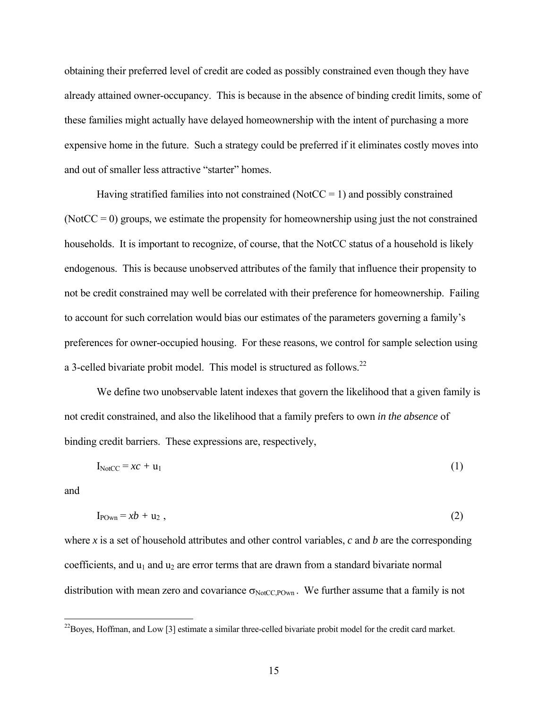obtaining their preferred level of credit are coded as possibly constrained even though they have already attained owner-occupancy. This is because in the absence of binding credit limits, some of these families might actually have delayed homeownership with the intent of purchasing a more expensive home in the future. Such a strategy could be preferred if it eliminates costly moves into and out of smaller less attractive "starter" homes.

Having stratified families into not constrained (NotCC  $=$  1) and possibly constrained  $(NotCC = 0)$  groups, we estimate the propensity for homeownership using just the not constrained households. It is important to recognize, of course, that the NotCC status of a household is likely endogenous. This is because unobserved attributes of the family that influence their propensity to not be credit constrained may well be correlated with their preference for homeownership. Failing to account for such correlation would bias our estimates of the parameters governing a family's preferences for owner-occupied housing. For these reasons, we control for sample selection using a 3-celled bivariate probit model. This model is structured as follows.22

 We define two unobservable latent indexes that govern the likelihood that a given family is not credit constrained, and also the likelihood that a family prefers to own *in the absence* of binding credit barriers. These expressions are, respectively,

$$
I_{\text{NotCC}} = xc + u_1 \tag{1}
$$

and

 $\overline{a}$ 

$$
I_{\text{POwn}} = xb + u_2 \tag{2}
$$

where *x* is a set of household attributes and other control variables, *c* and *b* are the corresponding coefficients, and  $u_1$  and  $u_2$  are error terms that are drawn from a standard bivariate normal distribution with mean zero and covariance  $\sigma_{\text{NotCC,POwn}}$ . We further assume that a family is not

 $^{22}$ Boyes, Hoffman, and Low [3] estimate a similar three-celled bivariate probit model for the credit card market.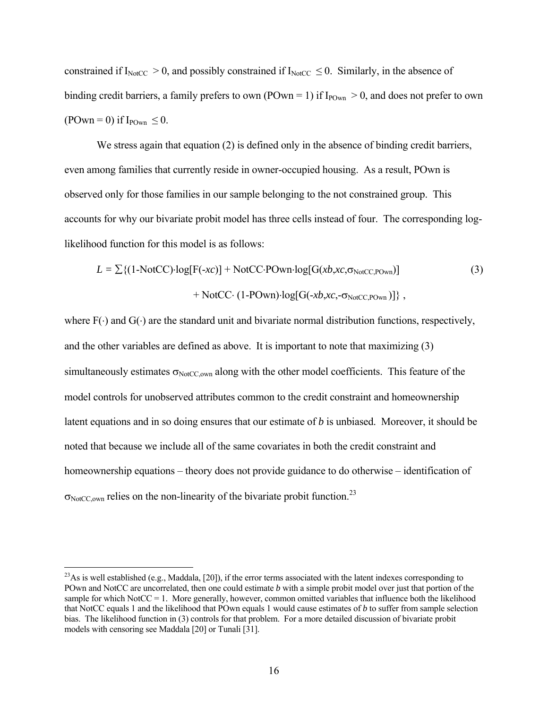constrained if  $I_{\text{NotCC}} > 0$ , and possibly constrained if  $I_{\text{NotCC}} \leq 0$ . Similarly, in the absence of binding credit barriers, a family prefers to own (POwn = 1) if  $I_{\text{POWn}} > 0$ , and does not prefer to own (POwn = 0) if  $I_{\text{POwn}} \leq 0$ .

We stress again that equation (2) is defined only in the absence of binding credit barriers, even among families that currently reside in owner-occupied housing. As a result, POwn is observed only for those families in our sample belonging to the not constrained group. This accounts for why our bivariate probit model has three cells instead of four. The corresponding loglikelihood function for this model is as follows:

$$
L = \sum \{ (1 - NotCC) \cdot log[F(-xc)] + NotCC \cdot P Own \cdot log[G(xb, xc, \sigma_{NotCC,Pown})] + NotCC \cdot (1 - P Own) \cdot log[G(-xb, xc, -\sigma_{NotCC,POwn})] \},
$$
(3)

where  $F(\cdot)$  and  $G(\cdot)$  are the standard unit and bivariate normal distribution functions, respectively, and the other variables are defined as above. It is important to note that maximizing (3) simultaneously estimates  $\sigma_{NotCC,own}$  along with the other model coefficients. This feature of the model controls for unobserved attributes common to the credit constraint and homeownership latent equations and in so doing ensures that our estimate of *b* is unbiased. Moreover, it should be noted that because we include all of the same covariates in both the credit constraint and homeownership equations – theory does not provide guidance to do otherwise – identification of  $\sigma_{\text{NotCC}}$ <sub>own</sub> relies on the non-linearity of the bivariate probit function.<sup>23</sup>

<u>.</u>

 $^{23}$ As is well established (e.g., Maddala, [20]), if the error terms associated with the latent indexes corresponding to POwn and NotCC are uncorrelated, then one could estimate *b* with a simple probit model over just that portion of the sample for which  $NotCC = 1$ . More generally, however, common omitted variables that influence both the likelihood that NotCC equals 1 and the likelihood that POwn equals 1 would cause estimates of *b* to suffer from sample selection bias. The likelihood function in (3) controls for that problem. For a more detailed discussion of bivariate probit models with censoring see Maddala [20] or Tunali [31].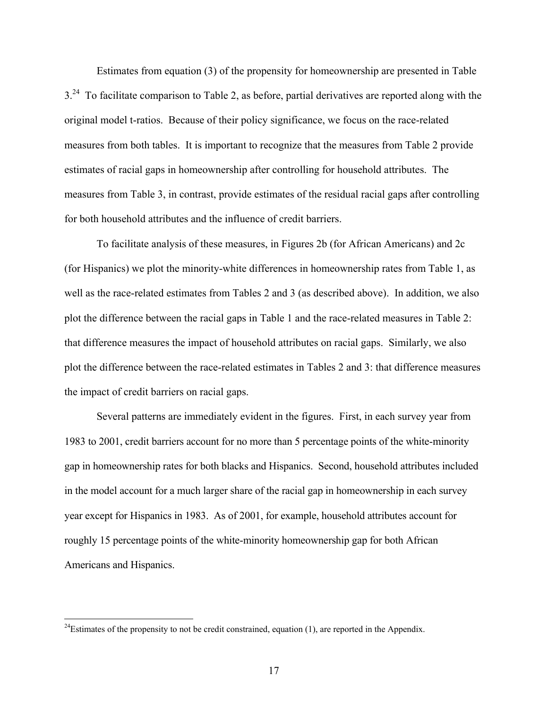Estimates from equation (3) of the propensity for homeownership are presented in Table  $3.^{24}$  To facilitate comparison to Table 2, as before, partial derivatives are reported along with the original model t-ratios. Because of their policy significance, we focus on the race-related measures from both tables. It is important to recognize that the measures from Table 2 provide estimates of racial gaps in homeownership after controlling for household attributes. The measures from Table 3, in contrast, provide estimates of the residual racial gaps after controlling for both household attributes and the influence of credit barriers.

To facilitate analysis of these measures, in Figures 2b (for African Americans) and 2c (for Hispanics) we plot the minority-white differences in homeownership rates from Table 1, as well as the race-related estimates from Tables 2 and 3 (as described above). In addition, we also plot the difference between the racial gaps in Table 1 and the race-related measures in Table 2: that difference measures the impact of household attributes on racial gaps. Similarly, we also plot the difference between the race-related estimates in Tables 2 and 3: that difference measures the impact of credit barriers on racial gaps.

Several patterns are immediately evident in the figures. First, in each survey year from 1983 to 2001, credit barriers account for no more than 5 percentage points of the white-minority gap in homeownership rates for both blacks and Hispanics. Second, household attributes included in the model account for a much larger share of the racial gap in homeownership in each survey year except for Hispanics in 1983. As of 2001, for example, household attributes account for roughly 15 percentage points of the white-minority homeownership gap for both African Americans and Hispanics.

 $\overline{a}$ 

 $^{24}$ Estimates of the propensity to not be credit constrained, equation (1), are reported in the Appendix.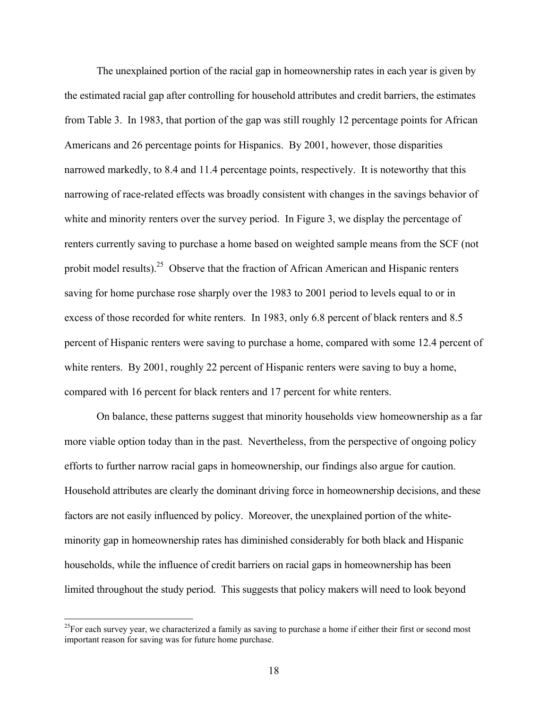The unexplained portion of the racial gap in homeownership rates in each year is given by the estimated racial gap after controlling for household attributes and credit barriers, the estimates from Table 3. In 1983, that portion of the gap was still roughly 12 percentage points for African Americans and 26 percentage points for Hispanics. By 2001, however, those disparities narrowed markedly, to 8.4 and 11.4 percentage points, respectively. It is noteworthy that this narrowing of race-related effects was broadly consistent with changes in the savings behavior of white and minority renters over the survey period. In Figure 3, we display the percentage of renters currently saving to purchase a home based on weighted sample means from the SCF (not probit model results).<sup>25</sup> Observe that the fraction of African American and Hispanic renters saving for home purchase rose sharply over the 1983 to 2001 period to levels equal to or in excess of those recorded for white renters. In 1983, only 6.8 percent of black renters and 8.5 percent of Hispanic renters were saving to purchase a home, compared with some 12.4 percent of white renters. By 2001, roughly 22 percent of Hispanic renters were saving to buy a home, compared with 16 percent for black renters and 17 percent for white renters.

On balance, these patterns suggest that minority households view homeownership as a far more viable option today than in the past. Nevertheless, from the perspective of ongoing policy efforts to further narrow racial gaps in homeownership, our findings also argue for caution. Household attributes are clearly the dominant driving force in homeownership decisions, and these factors are not easily influenced by policy. Moreover, the unexplained portion of the whiteminority gap in homeownership rates has diminished considerably for both black and Hispanic households, while the influence of credit barriers on racial gaps in homeownership has been limited throughout the study period. This suggests that policy makers will need to look beyond

 $\overline{a}$ 

<sup>&</sup>lt;sup>25</sup>For each survey year, we characterized a family as saving to purchase a home if either their first or second most important reason for saving was for future home purchase.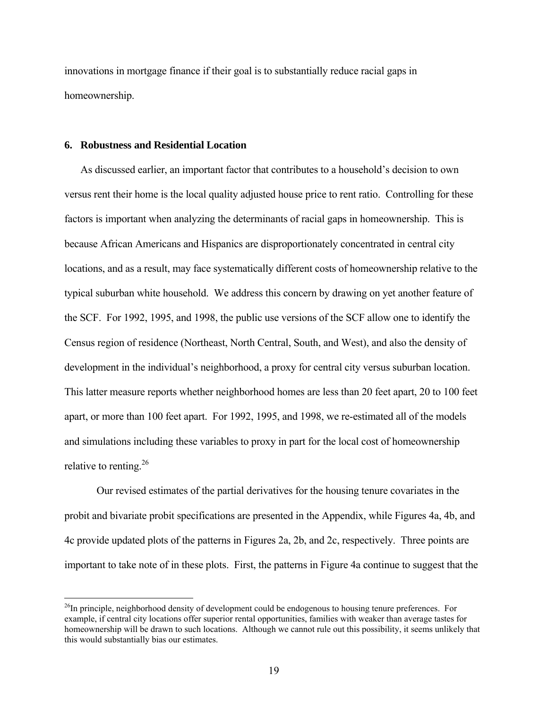innovations in mortgage finance if their goal is to substantially reduce racial gaps in homeownership.

### **6. Robustness and Residential Location**

 $\overline{a}$ 

As discussed earlier, an important factor that contributes to a household's decision to own versus rent their home is the local quality adjusted house price to rent ratio. Controlling for these factors is important when analyzing the determinants of racial gaps in homeownership. This is because African Americans and Hispanics are disproportionately concentrated in central city locations, and as a result, may face systematically different costs of homeownership relative to the typical suburban white household. We address this concern by drawing on yet another feature of the SCF. For 1992, 1995, and 1998, the public use versions of the SCF allow one to identify the Census region of residence (Northeast, North Central, South, and West), and also the density of development in the individual's neighborhood, a proxy for central city versus suburban location. This latter measure reports whether neighborhood homes are less than 20 feet apart, 20 to 100 feet apart, or more than 100 feet apart. For 1992, 1995, and 1998, we re-estimated all of the models and simulations including these variables to proxy in part for the local cost of homeownership relative to renting.<sup>26</sup>

 Our revised estimates of the partial derivatives for the housing tenure covariates in the probit and bivariate probit specifications are presented in the Appendix, while Figures 4a, 4b, and 4c provide updated plots of the patterns in Figures 2a, 2b, and 2c, respectively. Three points are important to take note of in these plots. First, the patterns in Figure 4a continue to suggest that the

<sup>&</sup>lt;sup>26</sup>In principle, neighborhood density of development could be endogenous to housing tenure preferences. For example, if central city locations offer superior rental opportunities, families with weaker than average tastes for homeownership will be drawn to such locations. Although we cannot rule out this possibility, it seems unlikely that this would substantially bias our estimates.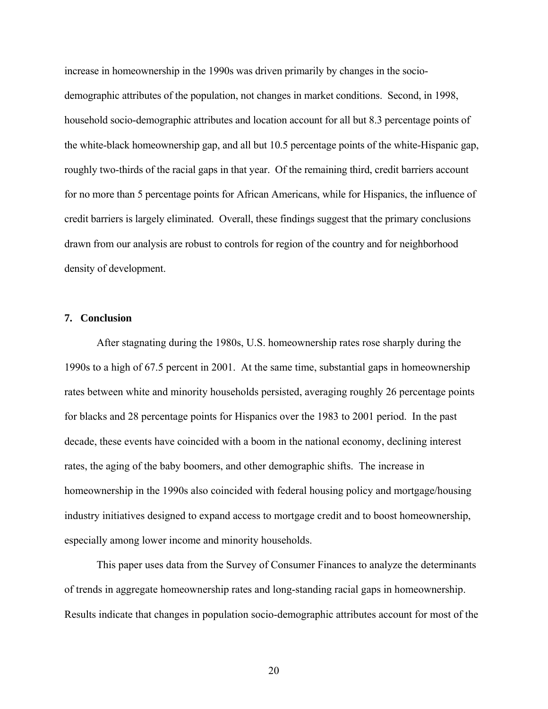increase in homeownership in the 1990s was driven primarily by changes in the sociodemographic attributes of the population, not changes in market conditions. Second, in 1998, household socio-demographic attributes and location account for all but 8.3 percentage points of the white-black homeownership gap, and all but 10.5 percentage points of the white-Hispanic gap, roughly two-thirds of the racial gaps in that year. Of the remaining third, credit barriers account for no more than 5 percentage points for African Americans, while for Hispanics, the influence of credit barriers is largely eliminated. Overall, these findings suggest that the primary conclusions drawn from our analysis are robust to controls for region of the country and for neighborhood density of development.

### **7. Conclusion**

After stagnating during the 1980s, U.S. homeownership rates rose sharply during the 1990s to a high of 67.5 percent in 2001. At the same time, substantial gaps in homeownership rates between white and minority households persisted, averaging roughly 26 percentage points for blacks and 28 percentage points for Hispanics over the 1983 to 2001 period. In the past decade, these events have coincided with a boom in the national economy, declining interest rates, the aging of the baby boomers, and other demographic shifts. The increase in homeownership in the 1990s also coincided with federal housing policy and mortgage/housing industry initiatives designed to expand access to mortgage credit and to boost homeownership, especially among lower income and minority households.

This paper uses data from the Survey of Consumer Finances to analyze the determinants of trends in aggregate homeownership rates and long-standing racial gaps in homeownership. Results indicate that changes in population socio-demographic attributes account for most of the

20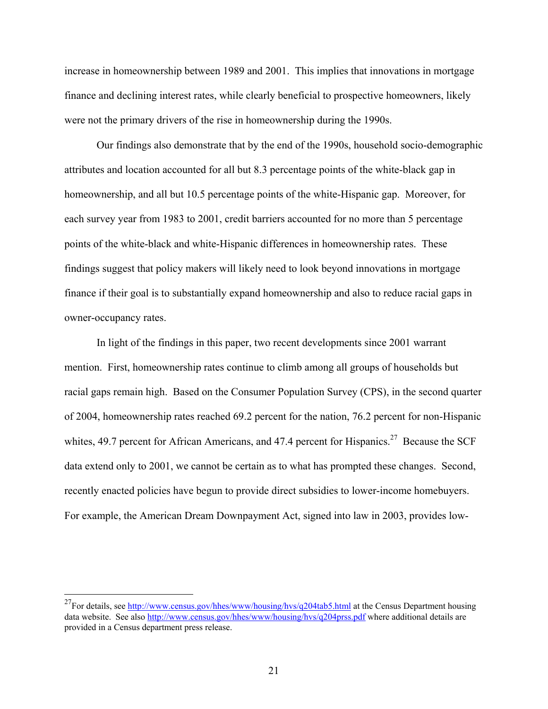increase in homeownership between 1989 and 2001. This implies that innovations in mortgage finance and declining interest rates, while clearly beneficial to prospective homeowners, likely were not the primary drivers of the rise in homeownership during the 1990s.

Our findings also demonstrate that by the end of the 1990s, household socio-demographic attributes and location accounted for all but 8.3 percentage points of the white-black gap in homeownership, and all but 10.5 percentage points of the white-Hispanic gap. Moreover, for each survey year from 1983 to 2001, credit barriers accounted for no more than 5 percentage points of the white-black and white-Hispanic differences in homeownership rates. These findings suggest that policy makers will likely need to look beyond innovations in mortgage finance if their goal is to substantially expand homeownership and also to reduce racial gaps in owner-occupancy rates.

In light of the findings in this paper, two recent developments since 2001 warrant mention. First, homeownership rates continue to climb among all groups of households but racial gaps remain high. Based on the Consumer Population Survey (CPS), in the second quarter of 2004, homeownership rates reached 69.2 percent for the nation, 76.2 percent for non-Hispanic whites, 49.7 percent for African Americans, and 47.4 percent for Hispanics.<sup>27</sup> Because the SCF data extend only to 2001, we cannot be certain as to what has prompted these changes. Second, recently enacted policies have begun to provide direct subsidies to lower-income homebuyers. For example, the American Dream Downpayment Act, signed into law in 2003, provides low-

 $\overline{a}$ 

<sup>&</sup>lt;sup>27</sup>For details, see http://www.census.gov/hhes/www/housing/hvs/q204tab5.html at the Census Department housing data website. See also http://www.census.gov/hhes/www/housing/hvs/q204prss.pdf where additional details are provided in a Census department press release.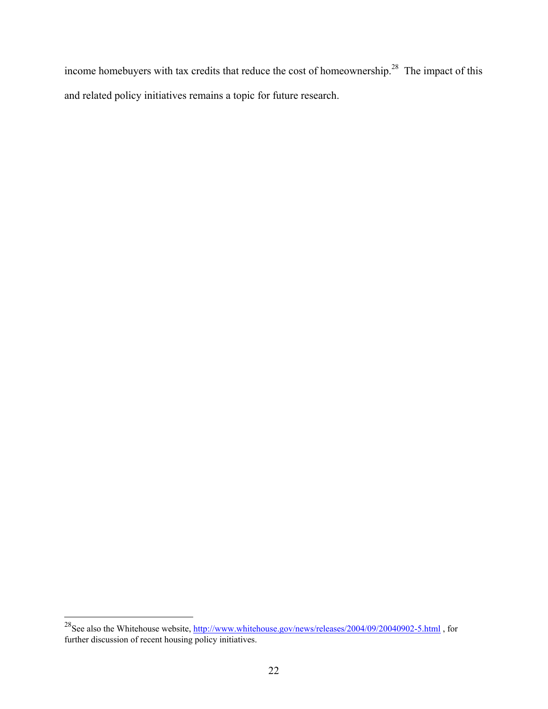income homebuyers with tax credits that reduce the cost of homeownership.<sup>28</sup> The impact of this and related policy initiatives remains a topic for future research.

 $\overline{a}$ 

<sup>&</sup>lt;sup>28</sup>See also the Whitehouse website, http://www.whitehouse.gov/news/releases/2004/09/20040902-5.html , for further discussion of recent housing policy initiatives.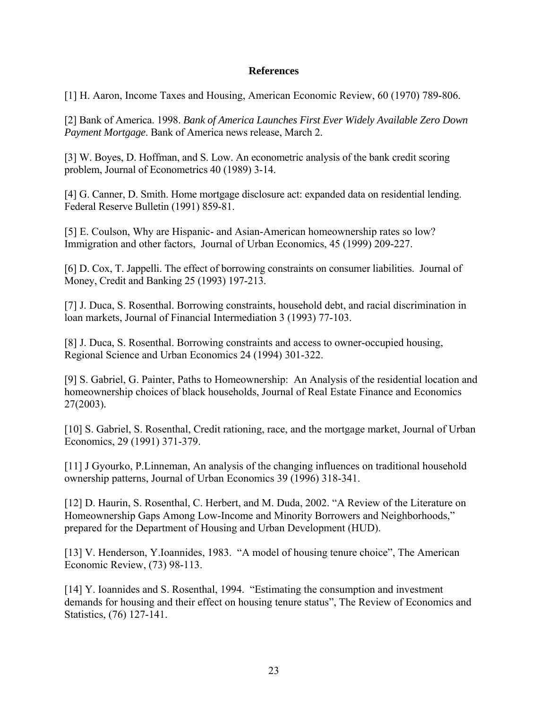# **References**

[1] H. Aaron, Income Taxes and Housing, American Economic Review, 60 (1970) 789-806.

[2] Bank of America. 1998. *Bank of America Launches First Ever Widely Available Zero Down Payment Mortgage*. Bank of America news release, March 2.

[3] W. Boyes, D. Hoffman, and S. Low. An econometric analysis of the bank credit scoring problem, Journal of Econometrics 40 (1989) 3-14.

[4] G. Canner, D. Smith. Home mortgage disclosure act: expanded data on residential lending. Federal Reserve Bulletin (1991) 859-81.

[5] E. Coulson, Why are Hispanic- and Asian-American homeownership rates so low? Immigration and other factors, Journal of Urban Economics, 45 (1999) 209-227.

[6] D. Cox, T. Jappelli. The effect of borrowing constraints on consumer liabilities. Journal of Money, Credit and Banking 25 (1993) 197-213.

[7] J. Duca, S. Rosenthal. Borrowing constraints, household debt, and racial discrimination in loan markets, Journal of Financial Intermediation 3 (1993) 77-103.

[8] J. Duca, S. Rosenthal. Borrowing constraints and access to owner-occupied housing, Regional Science and Urban Economics 24 (1994) 301-322.

[9] S. Gabriel, G. Painter, Paths to Homeownership: An Analysis of the residential location and homeownership choices of black households, Journal of Real Estate Finance and Economics 27(2003)*.* 

[10] S. Gabriel, S. Rosenthal, Credit rationing, race, and the mortgage market, Journal of Urban Economics, 29 (1991) 371-379.

[11] J Gyourko, P.Linneman, An analysis of the changing influences on traditional household ownership patterns, Journal of Urban Economics 39 (1996) 318-341.

[12] D. Haurin, S. Rosenthal, C. Herbert, and M. Duda, 2002. "A Review of the Literature on Homeownership Gaps Among Low-Income and Minority Borrowers and Neighborhoods," prepared for the Department of Housing and Urban Development (HUD).

[13] V. Henderson, Y. Ioannides, 1983. "A model of housing tenure choice", The American Economic Review, (73) 98-113.

[14] Y. Ioannides and S. Rosenthal, 1994. "Estimating the consumption and investment demands for housing and their effect on housing tenure status", The Review of Economics and Statistics, (76) 127-141.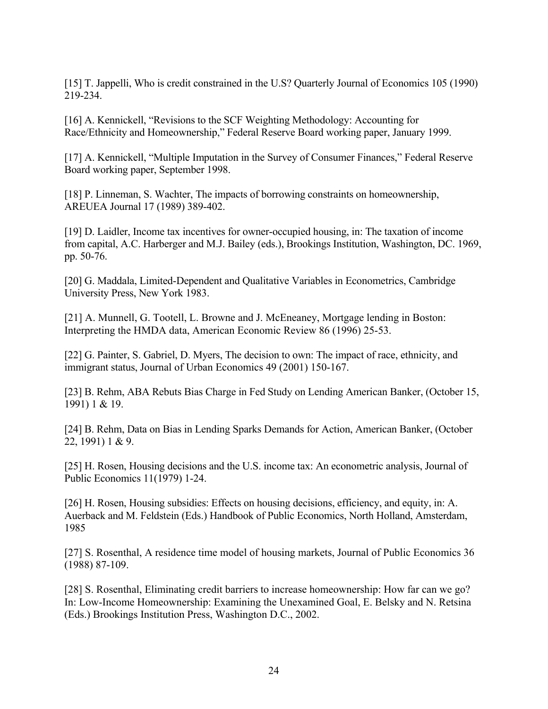[15] T. Jappelli, Who is credit constrained in the U.S? Quarterly Journal of Economics 105 (1990) 219-234.

[16] A. Kennickell, "Revisions to the SCF Weighting Methodology: Accounting for Race/Ethnicity and Homeownership," Federal Reserve Board working paper, January 1999.

[17] A. Kennickell, "Multiple Imputation in the Survey of Consumer Finances," Federal Reserve Board working paper, September 1998.

[18] P. Linneman, S. Wachter, The impacts of borrowing constraints on homeownership, AREUEA Journal 17 (1989) 389-402.

[19] D. Laidler, Income tax incentives for owner-occupied housing, in: The taxation of income from capital, A.C. Harberger and M.J. Bailey (eds.), Brookings Institution, Washington, DC. 1969, pp. 50-76.

[20] G. Maddala, Limited-Dependent and Qualitative Variables in Econometrics, Cambridge University Press, New York 1983.

[21] A. Munnell, G. Tootell, L. Browne and J. McEneaney, Mortgage lending in Boston: Interpreting the HMDA data, American Economic Review 86 (1996) 25-53.

[22] G. Painter, S. Gabriel, D. Myers, The decision to own: The impact of race, ethnicity, and immigrant status, Journal of Urban Economics 49 (2001) 150-167.

[23] B. Rehm, ABA Rebuts Bias Charge in Fed Study on Lending American Banker, (October 15, 1991) 1 & 19.

[24] B. Rehm, Data on Bias in Lending Sparks Demands for Action, American Banker, (October 22, 1991) 1 & 9.

[25] H. Rosen, Housing decisions and the U.S. income tax: An econometric analysis, Journal of Public Economics 11(1979) 1-24.

[26] H. Rosen, Housing subsidies: Effects on housing decisions, efficiency, and equity, in: A. Auerback and M. Feldstein (Eds.) Handbook of Public Economics, North Holland, Amsterdam, 1985

[27] S. Rosenthal, A residence time model of housing markets, Journal of Public Economics 36 (1988) 87-109.

[28] S. Rosenthal, Eliminating credit barriers to increase homeownership: How far can we go? In: Low-Income Homeownership: Examining the Unexamined Goal, E. Belsky and N. Retsina (Eds.) Brookings Institution Press, Washington D.C., 2002.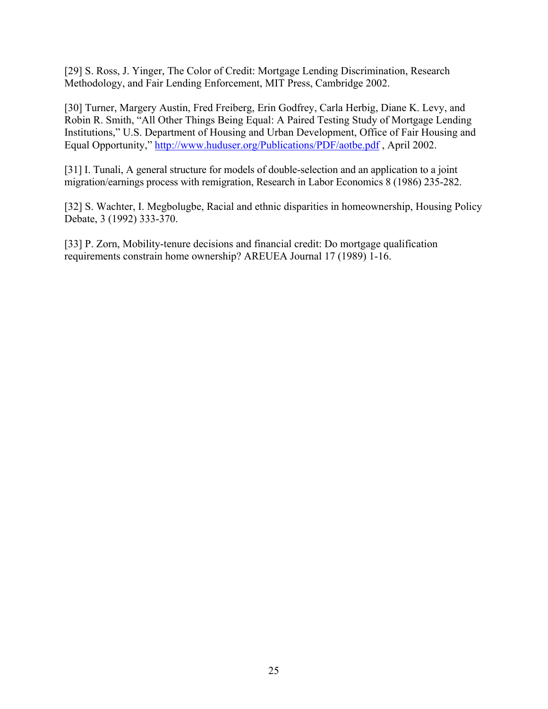[29] S. Ross, J. Yinger, The Color of Credit: Mortgage Lending Discrimination, Research Methodology, and Fair Lending Enforcement, MIT Press, Cambridge 2002.

[30] Turner, Margery Austin, Fred Freiberg, Erin Godfrey, Carla Herbig, Diane K. Levy, and Robin R. Smith, "All Other Things Being Equal: A Paired Testing Study of Mortgage Lending Institutions," U.S. Department of Housing and Urban Development, Office of Fair Housing and Equal Opportunity," http://www.huduser.org/Publications/PDF/aotbe.pdf , April 2002.

[31] I. Tunali, A general structure for models of double-selection and an application to a joint migration/earnings process with remigration, Research in Labor Economics 8 (1986) 235-282.

[32] S. Wachter, I. Megbolugbe, Racial and ethnic disparities in homeownership, Housing Policy Debate, 3 (1992) 333-370.

[33] P. Zorn, Mobility-tenure decisions and financial credit: Do mortgage qualification requirements constrain home ownership? AREUEA Journal 17 (1989) 1-16.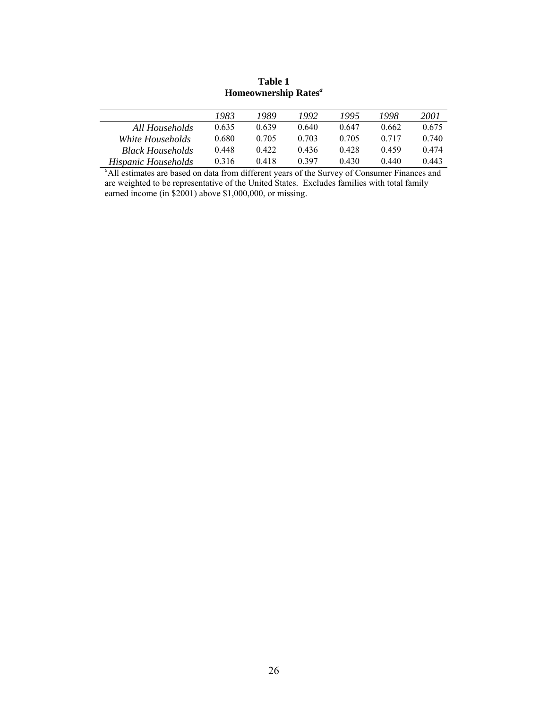|                         | 1983  | 1989  | 1992  | 1995  | 1998  | 2001  |
|-------------------------|-------|-------|-------|-------|-------|-------|
| All Households          | 0.635 | 0.639 | 0.640 | 0.647 | 0.662 | 0.675 |
| White Households        | 0.680 | 0.705 | 0.703 | 0.705 | 0.717 | 0.740 |
| <b>Black Households</b> | 0.448 | 0.422 | 0.436 | 0.428 | 0.459 | 0.474 |
| Hispanic Households     | 0.316 | 0.418 | 0.397 | 0.430 | 0440  | 0.443 |

## **Table 1 Homeownership Rates***<sup>a</sup>*

*Hispanic Households* 0.316 0.418 0.397 0.430 0.440 0.443<br>
<sup>a</sup> All estimates are based on data from different years of the Survey of Consumer Finances and are weighted to be representative of the United States. Excludes families with total family earned income (in \$2001) above \$1,000,000, or missing.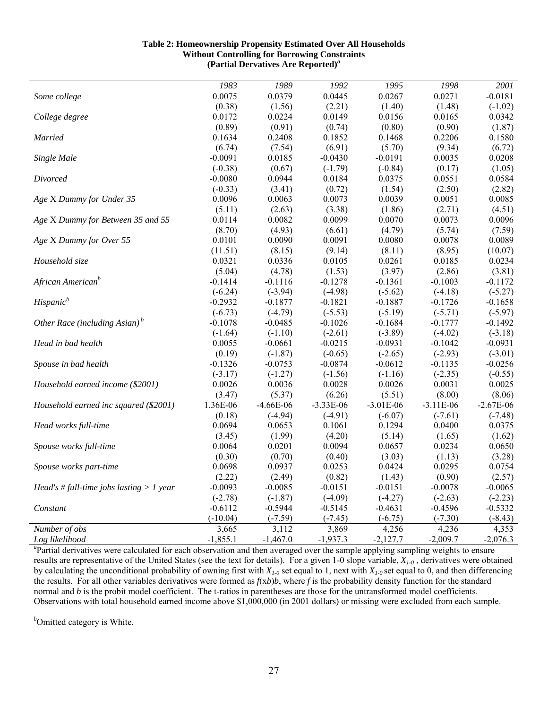#### **Table 2: Homeownership Propensity Estimated Over All Households Without Controlling for Borrowing Constraints (Partial Dervatives Are Reported)***<sup>a</sup>*

|                                            | 1983       | 1989        | 1992        | 1995        | 1998        | 2001        |
|--------------------------------------------|------------|-------------|-------------|-------------|-------------|-------------|
| Some college                               | 0.0075     | 0.0379      | 0.0445      | 0.0267      | 0.0271      | $-0.0181$   |
|                                            | (0.38)     | (1.56)      | (2.21)      | (1.40)      | (1.48)      | $(-1.02)$   |
| College degree                             | 0.0172     | 0.0224      | 0.0149      | 0.0156      | 0.0165      | 0.0342      |
|                                            | (0.89)     | (0.91)      | (0.74)      | (0.80)      | (0.90)      | (1.87)      |
| <b>Married</b>                             | 0.1634     | 0.2408      | 0.1852      | 0.1468      | 0.2206      | 0.1580      |
|                                            | (6.74)     | (7.54)      | (6.91)      | (5.70)      | (9.34)      | (6.72)      |
| Single Male                                | $-0.0091$  | 0.0185      | $-0.0430$   | $-0.0191$   | 0.0035      | 0.0208      |
|                                            | $(-0.38)$  | (0.67)      | $(-1.79)$   | $(-0.84)$   | (0.17)      | (1.05)      |
| Divorced                                   | $-0.0080$  | 0.0944      | 0.0184      | 0.0375      | 0.0551      | 0.0584      |
|                                            | $(-0.33)$  | (3.41)      | (0.72)      | (1.54)      | (2.50)      | (2.82)      |
| Age X Dummy for Under 35                   | 0.0096     | 0.0063      | 0.0073      | 0.0039      | 0.0051      | 0.0085      |
|                                            | (5.11)     | (2.63)      | (3.38)      | (1.86)      | (2.71)      | (4.51)      |
| Age X Dummy for Between 35 and 55          | 0.0114     | 0.0082      | 0.0099      | 0.0070      | 0.0073      | 0.0096      |
|                                            | (8.70)     | (4.93)      | (6.61)      | (4.79)      | (5.74)      | (7.59)      |
| Age X Dummy for Over 55                    | 0.0101     | 0.0090      | 0.0091      | 0.0080      | 0.0078      | 0.0089      |
|                                            | (11.51)    | (8.15)      | (9.14)      | (8.11)      | (8.95)      | (10.07)     |
| Household size                             | 0.0321     | 0.0336      | 0.0105      | 0.0261      | 0.0185      | 0.0234      |
|                                            | (5.04)     | (4.78)      | (1.53)      | (3.97)      | (2.86)      | (3.81)      |
| African American <sup>b</sup>              | $-0.1414$  | $-0.1116$   | $-0.1278$   | $-0.1361$   | $-0.1003$   | $-0.1172$   |
|                                            | $(-6.24)$  | $(-3.94)$   | $(-4.98)$   | $(-5.62)$   | $(-4.18)$   | $(-5.27)$   |
| Hispanic <sup>b</sup>                      | $-0.2932$  | $-0.1877$   | $-0.1821$   | $-0.1887$   | $-0.1726$   | $-0.1658$   |
|                                            | $(-6.73)$  | $(-4.79)$   | $(-5.53)$   | $(-5.19)$   | $(-5.71)$   | $(-5.97)$   |
| Other Race (including Asian) $^b$          | -0.1078    | $-0.0485$   | $-0.1026$   | $-0.1684$   | $-0.1777$   | -0.1492     |
|                                            | $(-1.64)$  | $(-1.10)$   | $(-2.61)$   | $(-3.89)$   | $(-4.02)$   | $(-3.18)$   |
| Head in bad health                         | 0.0055     | $-0.0661$   | $-0.0215$   | $-0.0931$   | $-0.1042$   | $-0.0931$   |
|                                            | (0.19)     | $(-1.87)$   | $(-0.65)$   | $(-2.65)$   | $(-2.93)$   | $(-3.01)$   |
| Spouse in bad health                       | $-0.1326$  | $-0.0753$   | $-0.0874$   | $-0.0612$   | $-0.1135$   | $-0.0256$   |
|                                            | $(-3.17)$  | $(-1.27)$   | $(-1.56)$   | $(-1.16)$   | $(-2.35)$   | $(-0.55)$   |
| Household earned income (\$2001)           | 0.0026     | 0.0036      | 0.0028      | 0.0026      | 0.0031      | 0.0025      |
|                                            | (3.47)     | (5.37)      | (6.26)      | (5.51)      | (8.00)      | (8.06)      |
| Household earned inc squared (\$2001)      | 1.36E-06   | $-4.66E-06$ | $-3.33E-06$ | $-3.01E-06$ | $-3.11E-06$ | $-2.67E-06$ |
|                                            | (0.18)     | $(-4.94)$   | $(-4.91)$   | $(-6.07)$   | $(-7.61)$   | $(-7.48)$   |
| Head works full-time                       | 0.0694     | 0.0653      | 0.1061      | 0.1294      | 0.0400      | 0.0375      |
|                                            | (3.45)     | (1.99)      | (4.20)      | (5.14)      | (1.65)      | (1.62)      |
| Spouse works full-time                     | 0.0064     | 0.0201      | 0.0094      | 0.0657      | 0.0234      | 0.0650      |
|                                            | (0.30)     | (0.70)      | (0.40)      | (3.03)      | (1.13)      | (3.28)      |
| Spouse works part-time                     | 0.0698     | 0.0937      | 0.0253      | 0.0424      | 0.0295      | 0.0754      |
|                                            | (2.22)     | (2.49)      | (0.82)      | (1.43)      | (0.90)      | (2.57)      |
| Head's # full-time jobs lasting $> 1$ year | $-0.0093$  | $-0.0085$   | $-0.0151$   | $-0.0151$   | $-0.0078$   | $-0.0065$   |
|                                            | $(-2.78)$  | $(-1.87)$   | $(-4.09)$   | $(-4.27)$   | $(-2.63)$   | $(-2.23)$   |
| Constant                                   | $-0.6112$  | $-0.5944$   | $-0.5145$   | $-0.4631$   | $-0.4596$   | $-0.5332$   |
|                                            | $(-10.04)$ | $(-7.59)$   | $(-7.45)$   | $(-6.75)$   | $(-7.30)$   | $(-8.43)$   |
| Number of obs                              | 3,665      | 3,112       | 3,869       | 4,256       | 4,236       | 4,353       |
| Log likelihood                             | $-1,855.1$ | $-1,467.0$  | $-1,937.3$  | $-2,127.7$  | $-2,009.7$  | $-2,076.3$  |

<sup>a</sup>Partial derivatives were calculated for each observation and then averaged over the sample applying sampling weights to ensure results are representative of the United States (see the text for details). For a given 1-0 slope variable, *X1-0* , derivatives were obtained by calculating the unconditional probability of owning first with *X1-0* set equal to 1, next with *X1-0* set equal to 0, and then differencing the results. For all other variables derivatives were formed as  $f(xb)b$ , where *f* is the probability density function for the standard normal and *b* is the probit model coefficient. The t-ratios in parentheses are those for the untransformed model coefficients. Observations with total household earned income above \$1,000,000 (in 2001 dollars) or missing were excluded from each sample.

*b* Omitted category is White.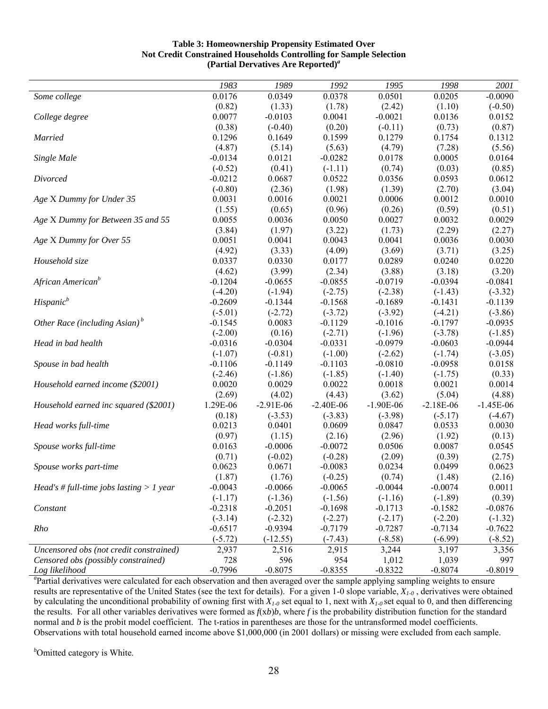#### **Table 3: Homeownership Propensity Estimated Over Not Credit Constrained Households Controlling for Sample Selection (Partial Dervatives Are Reported)***<sup>a</sup>*

|                                            | 1983                | 1989                | 1992                | 1995                | 1998                | 2001             |
|--------------------------------------------|---------------------|---------------------|---------------------|---------------------|---------------------|------------------|
| Some college                               | 0.0176              | 0.0349              | 0.0378              | 0.0501              | 0.0205              | $-0.0090$        |
|                                            | (0.82)              | (1.33)              | (1.78)              | (2.42)              | (1.10)              | $(-0.50)$        |
| College degree                             | 0.0077              | $-0.0103$           | 0.0041              | $-0.0021$           | 0.0136              | 0.0152           |
|                                            | (0.38)              | $(-0.40)$           | (0.20)              | $(-0.11)$           | (0.73)              | (0.87)           |
| Married                                    | 0.1296              | 0.1649              | 0.1599              | 0.1279              | 0.1754              | 0.1312           |
|                                            | (4.87)              | (5.14)              | (5.63)              | (4.79)              | (7.28)              | (5.56)           |
| Single Male                                | $-0.0134$           | 0.0121              | $-0.0282$           | 0.0178              | 0.0005              | 0.0164           |
|                                            | $(-0.52)$           | (0.41)              | $(-1.11)$           | (0.74)              | (0.03)              | (0.85)           |
| Divorced                                   | $-0.0212$           | 0.0687              | 0.0522              | 0.0356              | 0.0593              | 0.0612           |
|                                            | $(-0.80)$           | (2.36)              | (1.98)              | (1.39)              | (2.70)              | (3.04)           |
| Age X Dummy for Under 35                   | 0.0031              | 0.0016              | 0.0021              | 0.0006              | 0.0012              | 0.0010           |
|                                            | (1.55)              | (0.65)              | (0.96)              | (0.26)              | (0.59)              | (0.51)           |
| Age X Dummy for Between 35 and 55          | 0.0055              | 0.0036              | 0.0050              | 0.0027              | 0.0032              | 0.0029           |
|                                            | (3.84)              | (1.97)              | (3.22)              | (1.73)              | (2.29)              | (2.27)           |
| Age X Dummy for Over 55                    | 0.0051              | 0.0041              | 0.0043              | 0.0041              | 0.0036              | 0.0030           |
|                                            | (4.92)              | (3.33)              | (4.09)              | (3.69)              | (3.71)              | (3.25)           |
| Household size                             | 0.0337              | 0.0330              | 0.0177              | 0.0289              | 0.0240              | 0.0220           |
|                                            | (4.62)              | (3.99)              | (2.34)              | (3.88)              | (3.18)              | (3.20)           |
| African American <sup>b</sup>              | $-0.1204$           | $-0.0655$           | $-0.0855$           | $-0.0719$           | $-0.0394$           | $-0.0841$        |
|                                            | $(-4.20)$           | $(-1.94)$           | $(-2.75)$           | $(-2.38)$           | $(-1.43)$           | $(-3.32)$        |
| Hispanic <sup>b</sup>                      | $-0.2609$           | $-0.1344$           | $-0.1568$           | $-0.1689$           | $-0.1431$           | $-0.1139$        |
|                                            | $(-5.01)$           | $(-2.72)$           | $(-3.72)$           | $(-3.92)$           | $(-4.21)$           | $(-3.86)$        |
| Other Race (including Asian) $^b$          | $-0.1545$           | 0.0083              | $-0.1129$           | $-0.1016$           | $-0.1797$           | $-0.0935$        |
|                                            | $(-2.00)$           | (0.16)              | $(-2.71)$           | $(-1.96)$           | $(-3.78)$           | $(-1.85)$        |
| Head in bad health                         | $-0.0316$           | $-0.0304$           | $-0.0331$           | $-0.0979$           | $-0.0603$           | $-0.0944$        |
|                                            | $(-1.07)$           | $(-0.81)$           | $(-1.00)$           | $(-2.62)$           | $(-1.74)$           | $(-3.05)$        |
|                                            | $-0.1106$           | $-0.1149$           | $-0.1103$           | $-0.0810$           | $-0.0958$           | 0.0158           |
| Spouse in bad health                       |                     |                     |                     |                     |                     |                  |
|                                            | $(-2.46)$<br>0.0020 | $(-1.86)$<br>0.0029 | $(-1.85)$<br>0.0022 | $(-1.40)$<br>0.0018 | $(-1.75)$<br>0.0021 | (0.33)<br>0.0014 |
| Household earned income (\$2001)           |                     |                     |                     |                     |                     |                  |
|                                            | (2.69)              | (4.02)              | (4.43)              | (3.62)              | (5.04)              | (4.88)           |
| Household earned inc squared (\$2001)      | 1.29E-06            | $-2.91E-06$         | $-2.40E-06$         | $-1.90E-06$         | $-2.18E-06$         | $-1.45E-06$      |
|                                            | (0.18)<br>0.0213    | $(-3.53)$           | $(-3.83)$           | $(-3.98)$           | $(-5.17)$           | $(-4.67)$        |
| Head works full-time                       |                     | 0.0401              | 0.0609              | 0.0847              | 0.0533              | 0.0030           |
|                                            | (0.97)<br>0.0163    | (1.15)<br>$-0.0006$ | (2.16)<br>$-0.0072$ | (2.96)              | (1.92)<br>0.0087    | (0.13)<br>0.0545 |
| Spouse works full-time                     |                     |                     |                     | 0.0506              |                     |                  |
|                                            | (0.71)              | $(-0.02)$           | $(-0.28)$           | (2.09)              | (0.39)              | (2.75)           |
| Spouse works part-time                     | 0.0623              | 0.0671              | $-0.0083$           | 0.0234              | 0.0499              | 0.0623           |
|                                            | (1.87)              | (1.76)              | $(-0.25)$           | (0.74)              | (1.48)              | (2.16)           |
| Head's # full-time jobs lasting $> 1$ year | $-0.0043$           | $-0.0066$           | $-0.0065$           | $-0.0044$           | $-0.0074$           | 0.0011           |
|                                            | $(-1.17)$           | $(-1.36)$           | $(-1.56)$           | $(-1.16)$           | $(-1.89)$           | (0.39)           |
| Constant                                   | $-0.2318$           | $-0.2051$           | $-0.1698$           | $-0.1713$           | $-0.1582$           | $-0.0876$        |
|                                            | $(-3.14)$           | $(-2.32)$           | $(-2.27)$           | $(-2.17)$           | $(-2.20)$           | $(-1.32)$        |
| Rho                                        | $-0.6517$           | $-0.9394$           | $-0.7179$           | $-0.7287$           | $-0.7134$           | $-0.7622$        |
|                                            | $(-5.72)$           | $(-12.55)$          | $(-7.43)$           | $(-8.58)$           | $(-6.99)$           | $(-8.52)$        |
| Uncensored obs (not credit constrained)    | 2,937               | 2,516               | 2,915               | 3,244               | 3,197               | 3,356            |
| Censored obs (possibly constrained)        | 728                 | 596                 | 954                 | 1,012               | 1,039               | 997              |
| Log likelihood                             | $-0.7996$           | $-0.8075$           | $-0.8355$           | $-0.8322$           | $-0.8074$           | $-0.8019$        |

<sup>a</sup>Partial derivatives were calculated for each observation and then averaged over the sample applying sampling weights to ensure results are representative of the United States (see the text for details). For a given 1-0 slope variable, *X1-0* , derivatives were obtained by calculating the unconditional probability of owning first with *X1-0* set equal to 1, next with *X1-0* set equal to 0, and then differencing the results. For all other variables derivatives were formed as  $f(x)$ *b*, where *f* is the probability distribution function for the standard normal and *b* is the probit model coefficient. The t-ratios in parentheses are those for the untransformed model coefficients. Observations with total household earned income above \$1,000,000 (in 2001 dollars) or missing were excluded from each sample.

*b* Omitted category is White.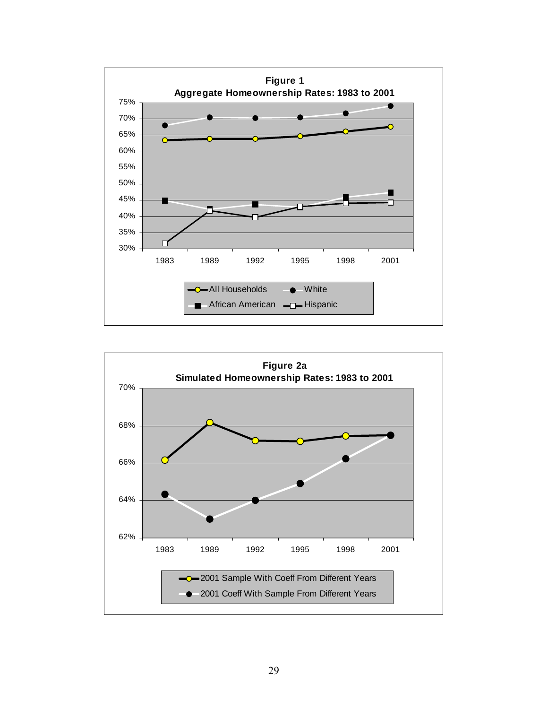

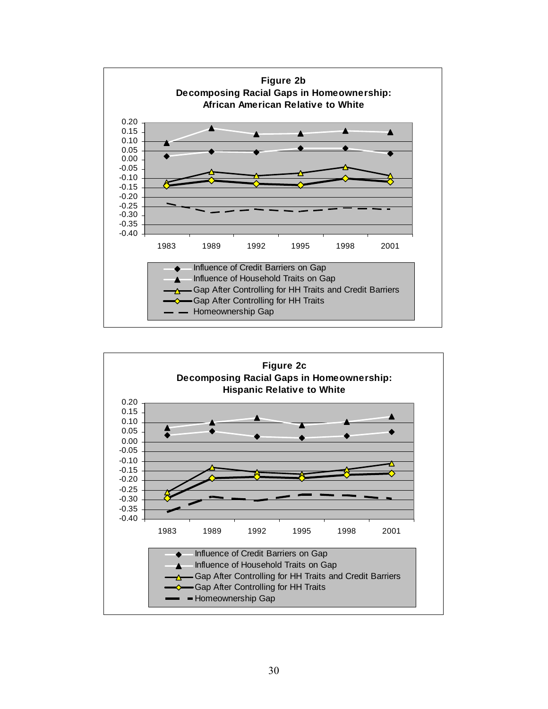

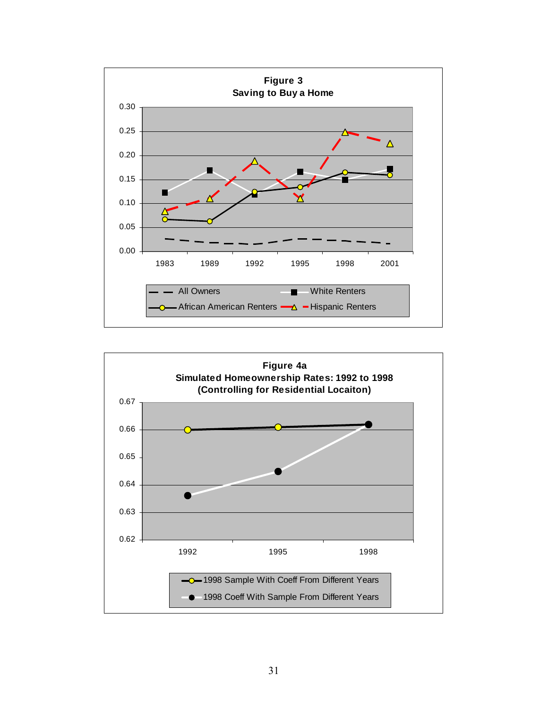

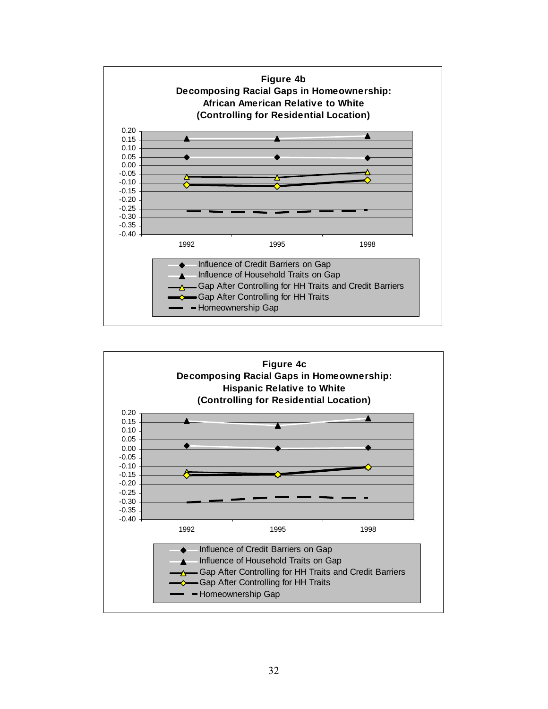

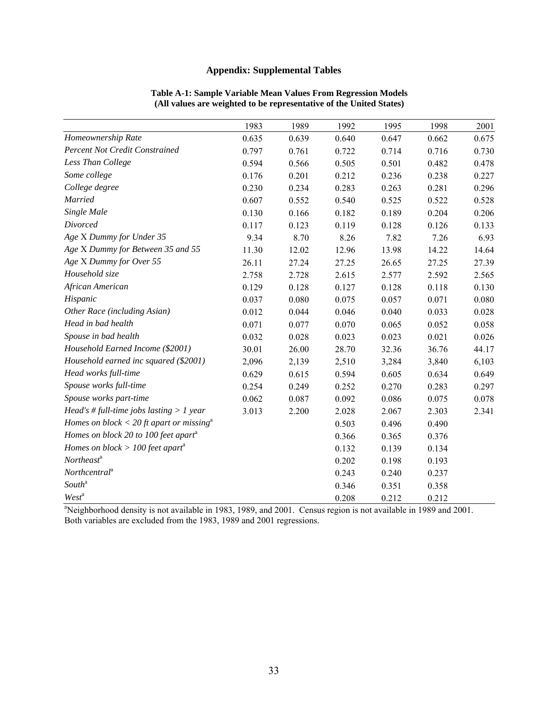# **Appendix: Supplemental Tables**

|                                                                                                                              | 1983  | 1989  | 1992  | 1995  | 1998  | 2001  |
|------------------------------------------------------------------------------------------------------------------------------|-------|-------|-------|-------|-------|-------|
| Homeownership Rate                                                                                                           | 0.635 | 0.639 | 0.640 | 0.647 | 0.662 | 0.675 |
| <b>Percent Not Credit Constrained</b>                                                                                        | 0.797 | 0.761 | 0.722 | 0.714 | 0.716 | 0.730 |
| Less Than College                                                                                                            | 0.594 | 0.566 | 0.505 | 0.501 | 0.482 | 0.478 |
| Some college                                                                                                                 | 0.176 | 0.201 | 0.212 | 0.236 | 0.238 | 0.227 |
| College degree                                                                                                               | 0.230 | 0.234 | 0.283 | 0.263 | 0.281 | 0.296 |
| <b>Married</b>                                                                                                               | 0.607 | 0.552 | 0.540 | 0.525 | 0.522 | 0.528 |
| Single Male                                                                                                                  | 0.130 | 0.166 | 0.182 | 0.189 | 0.204 | 0.206 |
| Divorced                                                                                                                     | 0.117 | 0.123 | 0.119 | 0.128 | 0.126 | 0.133 |
| Age X Dummy for Under 35                                                                                                     | 9.34  | 8.70  | 8.26  | 7.82  | 7.26  | 6.93  |
| Age X Dummy for Between 35 and 55                                                                                            | 11.30 | 12.02 | 12.96 | 13.98 | 14.22 | 14.64 |
| Age X Dummy for Over 55                                                                                                      | 26.11 | 27.24 | 27.25 | 26.65 | 27.25 | 27.39 |
| Household size                                                                                                               | 2.758 | 2.728 | 2.615 | 2.577 | 2.592 | 2.565 |
| African American                                                                                                             | 0.129 | 0.128 | 0.127 | 0.128 | 0.118 | 0.130 |
| Hispanic                                                                                                                     | 0.037 | 0.080 | 0.075 | 0.057 | 0.071 | 0.080 |
| Other Race (including Asian)                                                                                                 | 0.012 | 0.044 | 0.046 | 0.040 | 0.033 | 0.028 |
| Head in bad health                                                                                                           | 0.071 | 0.077 | 0.070 | 0.065 | 0.052 | 0.058 |
| Spouse in bad health                                                                                                         | 0.032 | 0.028 | 0.023 | 0.023 | 0.021 | 0.026 |
| Household Earned Income (\$2001)                                                                                             | 30.01 | 26.00 | 28.70 | 32.36 | 36.76 | 44.17 |
| Household earned inc squared (\$2001)                                                                                        | 2,096 | 2,139 | 2,510 | 3,284 | 3,840 | 6,103 |
| Head works full-time                                                                                                         | 0.629 | 0.615 | 0.594 | 0.605 | 0.634 | 0.649 |
| Spouse works full-time                                                                                                       | 0.254 | 0.249 | 0.252 | 0.270 | 0.283 | 0.297 |
| Spouse works part-time                                                                                                       | 0.062 | 0.087 | 0.092 | 0.086 | 0.075 | 0.078 |
| Head's # full-time jobs lasting $> 1$ year                                                                                   | 3.013 | 2.200 | 2.028 | 2.067 | 2.303 | 2.341 |
| Homes on block $<$ 20 ft apart or missing <sup>a</sup>                                                                       |       |       | 0.503 | 0.496 | 0.490 |       |
| Homes on block 20 to 100 feet apart <sup>a</sup>                                                                             |       |       | 0.366 | 0.365 | 0.376 |       |
| Homes on block > 100 feet apart <sup>a</sup>                                                                                 |       |       | 0.132 | 0.139 | 0.134 |       |
| Northeast <sup>a</sup>                                                                                                       |       |       | 0.202 | 0.198 | 0.193 |       |
| Northcentral <sup>a</sup>                                                                                                    |       |       | 0.243 | 0.240 | 0.237 |       |
| South <sup>a</sup>                                                                                                           |       |       | 0.346 | 0.351 | 0.358 |       |
| West <sup>a</sup>                                                                                                            |       |       | 0.208 | 0.212 | 0.212 |       |
| <sup>a</sup> Neighborhood density is not available in 1983, 1989, and 2001. Census region is not available in 1989 and 2001. |       |       |       |       |       |       |

### **Table A-1: Sample Variable Mean Values From Regression Models (All values are weighted to be representative of the United States)**

Both variables are excluded from the 1983, 1989 and 2001 regressions.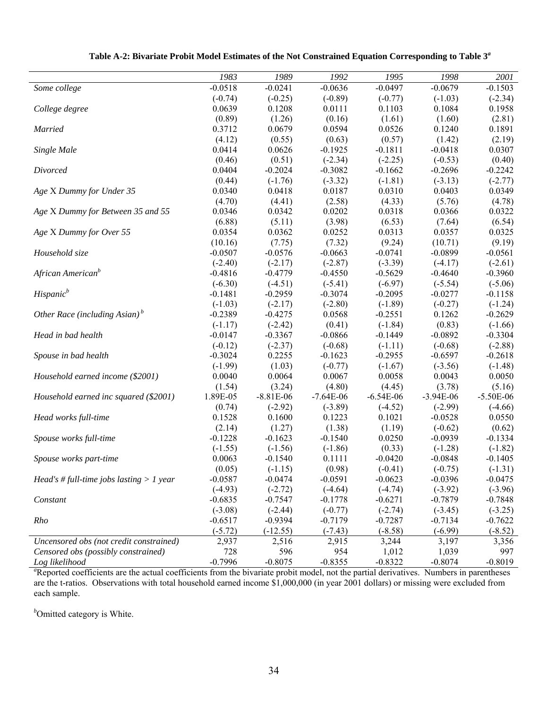|                                            | 1983                | 1989        | 1992             | 1995        | 1998               | 2001                   |
|--------------------------------------------|---------------------|-------------|------------------|-------------|--------------------|------------------------|
| Some college                               | $-0.0518$           | $-0.0241$   | $-0.0636$        | $-0.0497$   | $-0.0679$          | $-0.1503$              |
|                                            | $(-0.74)$           | $(-0.25)$   | $(-0.89)$        | $(-0.77)$   | $(-1.03)$          | $(-2.34)$              |
| College degree                             | 0.0639              | 0.1208      | 0.0111           | 0.1103      | 0.1084             | 0.1958                 |
|                                            | (0.89)              | (1.26)      | (0.16)           | (1.61)      | (1.60)             | (2.81)                 |
| Married                                    | 0.3712              | 0.0679      | 0.0594           | 0.0526      | 0.1240             | 0.1891                 |
|                                            | (4.12)              | (0.55)      | (0.63)           | (0.57)      | (1.42)             | (2.19)                 |
| Single Male                                | 0.0414              | 0.0626      | $-0.1925$        | $-0.1811$   | $-0.0418$          | 0.0307                 |
|                                            | (0.46)              | (0.51)      | $(-2.34)$        | $(-2.25)$   | $(-0.53)$          | (0.40)                 |
| Divorced                                   | 0.0404              | $-0.2024$   | $-0.3082$        | $-0.1662$   | $-0.2696$          | $-0.2242$              |
|                                            | (0.44)              | $(-1.76)$   | $(-3.32)$        | $(-1.81)$   | $(-3.13)$          | $(-2.77)$              |
| Age X Dummy for Under 35                   | 0.0340              | 0.0418      | 0.0187           | 0.0310      | 0.0403             | 0.0349                 |
|                                            | (4.70)              | (4.41)      | (2.58)           | (4.33)      | (5.76)             | (4.78)                 |
| Age X Dummy for Between 35 and 55          | 0.0346              | 0.0342      | 0.0202           | 0.0318      | 0.0366             | 0.0322                 |
|                                            | (6.88)              | (5.11)      | (3.98)           | (6.53)      | (7.64)             | (6.54)                 |
| Age X Dummy for Over 55                    | 0.0354              | 0.0362      | 0.0252           | 0.0313      | 0.0357             | 0.0325                 |
|                                            | (10.16)             | (7.75)      | (7.32)           | (9.24)      | (10.71)            | (9.19)                 |
| Household size                             | $-0.0507$           | $-0.0576$   | $-0.0663$        | $-0.0741$   | $-0.0899$          | $-0.0561$              |
|                                            | $(-2.40)$           | $(-2.17)$   | $(-2.87)$        | $(-3.39)$   | $(-4.17)$          | $(-2.61)$              |
| African American <sup>b</sup>              | $-0.4816$           | $-0.4779$   | $-0.4550$        | $-0.5629$   | $-0.4640$          | $-0.3960$              |
|                                            | $(-6.30)$           | $(-4.51)$   | $(-5.41)$        | $(-6.97)$   | $(-5.54)$          | $(-5.06)$              |
| Hispanic <sup>b</sup>                      | $-0.1481$           | $-0.2959$   | $-0.3074$        | $-0.2095$   | $-0.0277$          | $-0.1158$              |
|                                            | $(-1.03)$           | $(-2.17)$   | $(-2.80)$        | $(-1.89)$   | $(-0.27)$          | $(-1.24)$              |
| Other Race (including Asian) $^b$          | $-0.2389$           | $-0.4275$   | 0.0568           | $-0.2551$   | 0.1262             | $-0.2629$              |
|                                            | $(-1.17)$           | $(-2.42)$   | (0.41)           | $(-1.84)$   | (0.83)             | $(-1.66)$              |
| Head in bad health                         | $-0.0147$           | $-0.3367$   | $-0.0866$        | $-0.1449$   | $-0.0892$          | $-0.3304$              |
|                                            | $(-0.12)$           | $(-2.37)$   | $(-0.68)$        | $(-1.11)$   | $(-0.68)$          | $(-2.88)$              |
| Spouse in bad health                       | $-0.3024$           | 0.2255      | $-0.1623$        | $-0.2955$   | $-0.6597$          | $-0.2618$              |
|                                            | $(-1.99)$           | (1.03)      | $(-0.77)$        | $(-1.67)$   | $(-3.56)$          | $(-1.48)$              |
| Household earned income (\$2001)           | 0.0040              | 0.0064      | 0.0067           | 0.0058      | 0.0043             | 0.0050                 |
|                                            | (1.54)              | (3.24)      | (4.80)           | (4.45)      | (3.78)             | (5.16)                 |
| Household earned inc squared (\$2001)      | 1.89E-05            | $-8.81E-06$ | $-7.64E-06$      | $-6.54E-06$ | $-3.94E-06$        | $-5.50E-06$            |
|                                            | (0.74)              | $(-2.92)$   | $(-3.89)$        | $(-4.52)$   | $(-2.99)$          | $(-4.66)$              |
| Head works full-time                       | 0.1528              | 0.1600      | 0.1223           | 0.1021      | $-0.0528$          | 0.0550                 |
|                                            | (2.14)              | (1.27)      | (1.38)           | (1.19)      | $(-0.62)$          | (0.62)                 |
| Spouse works full-time                     | $-0.1228$           | $-0.1623$   | $-0.1540$        | 0.0250      | $-0.0939$          | $-0.1334$              |
|                                            | $(-1.55)$           | $(-1.56)$   | $(-1.86)$        | (0.33)      | $(-1.28)$          | $(-1.82)$              |
| Spouse works part-time                     | 0.0063              | $-0.1540$   | 0.1111           | $-0.0420$   | $-0.0848$          | $-0.1405$              |
|                                            |                     | $(-1.15)$   | (0.98)           | $(-0.41)$   | $(-0.75)$          |                        |
| Head's # full-time jobs lasting $> 1$ year | (0.05)<br>$-0.0587$ | $-0.0474$   | $-0.0591$        | $-0.0623$   | $-0.0396$          | $(-1.31)$<br>$-0.0475$ |
|                                            | $(-4.93)$           | $(-2.72)$   | $(-4.64)$        | $(-4.74)$   | $(-3.92)$          | $(-3.96)$              |
|                                            | $-0.6835$           | $-0.7547$   | $-0.1778$        | $-0.6271$   | $-0.7879$          | $-0.7848$              |
| Constant                                   | $(-3.08)$           | $(-2.44)$   | $(-0.77)$        | $(-2.74)$   | $(-3.45)$          | $(-3.25)$              |
|                                            |                     | $-0.9394$   |                  |             |                    |                        |
| Rho                                        | $-0.6517$           |             | $-0.7179$        | $-0.7287$   | $-0.7134$          | $-0.7622$              |
|                                            | $(-5.72)$           | $(-12.55)$  | $(-7.43)$        | $(-8.58)$   | $(-6.99)$          | $(-8.52)$              |
| Uncensored obs (not credit constrained)    | 2,937               | 2,516       | 2,915            | 3,244       | 3,197              | 3,356                  |
| Censored obs (possibly constrained)        | 728                 | 596         | 954<br>$-0.8355$ | 1,012       | 1,039<br>$-0.8074$ | 997                    |
| Log likelihood                             | $-0.7996$           | $-0.8075$   |                  | $-0.8322$   |                    | $-0.8019$              |

## **Table A-2: Bivariate Probit Model Estimates of the Not Constrained Equation Corresponding to Table 3***<sup>a</sup>*

*Log likelihood* -0.7996 -0.8075 -0.8355 -0.8322 -0.8074 -0.8019<br>
<sup>a</sup>Reported coefficients are the actual coefficients from the bivariate probit model, not the partial derivatives. Numbers in parentheses are the t-ratios. Observations with total household earned income \$1,000,000 (in year 2001 dollars) or missing were excluded from each sample.

*b* Omitted category is White.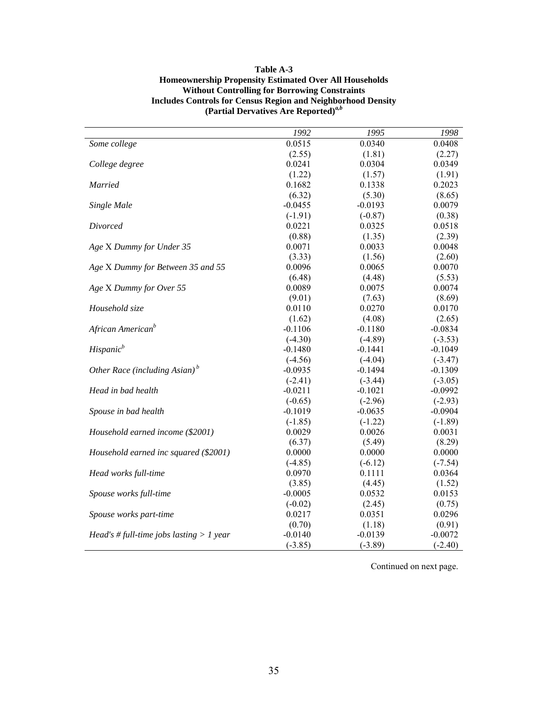|                                            | 1992      | 1995      | 1998      |
|--------------------------------------------|-----------|-----------|-----------|
| Some college                               | 0.0515    | 0.0340    | 0.0408    |
|                                            | (2.55)    | (1.81)    | (2.27)    |
| College degree                             | 0.0241    | 0.0304    | 0.0349    |
|                                            | (1.22)    | (1.57)    | (1.91)    |
| Married                                    | 0.1682    | 0.1338    | 0.2023    |
|                                            | (6.32)    | (5.30)    | (8.65)    |
| Single Male                                | $-0.0455$ | $-0.0193$ | 0.0079    |
|                                            | $(-1.91)$ | $(-0.87)$ | (0.38)    |
| Divorced                                   | 0.0221    | 0.0325    | 0.0518    |
|                                            | (0.88)    | (1.35)    | (2.39)    |
| Age X Dummy for Under 35                   | 0.0071    | 0.0033    | 0.0048    |
|                                            | (3.33)    | (1.56)    | (2.60)    |
| Age X Dummy for Between 35 and 55          | 0.0096    | 0.0065    | 0.0070    |
|                                            | (6.48)    | (4.48)    | (5.53)    |
| Age X Dummy for Over 55                    | 0.0089    | 0.0075    | 0.0074    |
|                                            | (9.01)    | (7.63)    | (8.69)    |
| Household size                             | 0.0110    | 0.0270    | 0.0170    |
|                                            | (1.62)    | (4.08)    | (2.65)    |
| African American <sup>b</sup>              | $-0.1106$ | $-0.1180$ | $-0.0834$ |
|                                            | $(-4.30)$ | $(-4.89)$ | $(-3.53)$ |
| Hispanic <sup>b</sup>                      | $-0.1480$ | $-0.1441$ | $-0.1049$ |
|                                            | $(-4.56)$ | $(-4.04)$ | $(-3.47)$ |
| Other Race (including Asian) <sup>b</sup>  | $-0.0935$ | $-0.1494$ | $-0.1309$ |
|                                            | $(-2.41)$ | $(-3.44)$ | $(-3.05)$ |
| Head in bad health                         | $-0.0211$ | $-0.1021$ | $-0.0992$ |
|                                            | $(-0.65)$ | $(-2.96)$ | $(-2.93)$ |
| Spouse in bad health                       | $-0.1019$ | $-0.0635$ | $-0.0904$ |
|                                            | $(-1.85)$ | $(-1.22)$ | $(-1.89)$ |
| Household earned income (\$2001)           | 0.0029    | 0.0026    | 0.0031    |
|                                            | (6.37)    | (5.49)    | (8.29)    |
| Household earned inc squared (\$2001)      | 0.0000    | 0.0000    | 0.0000    |
|                                            | $(-4.85)$ | $(-6.12)$ | $(-7.54)$ |
| Head works full-time                       | 0.0970    | 0.1111    | 0.0364    |
|                                            | (3.85)    | (4.45)    | (1.52)    |
| Spouse works full-time                     | $-0.0005$ | 0.0532    | 0.0153    |
|                                            | $(-0.02)$ | (2.45)    | (0.75)    |
| Spouse works part-time                     | 0.0217    | 0.0351    | 0.0296    |
|                                            | (0.70)    | (1.18)    | (0.91)    |
| Head's # full-time jobs lasting $> 1$ year | $-0.0140$ | $-0.0139$ | $-0.0072$ |
|                                            | $(-3.85)$ | $(-3.89)$ | $(-2.40)$ |

### **Table A-3 Homeownership Propensity Estimated Over All Households Without Controlling for Borrowing Constraints Includes Controls for Census Region and Neighborhood Density (Partial Dervatives Are Reported)***a,b*

Continued on next page.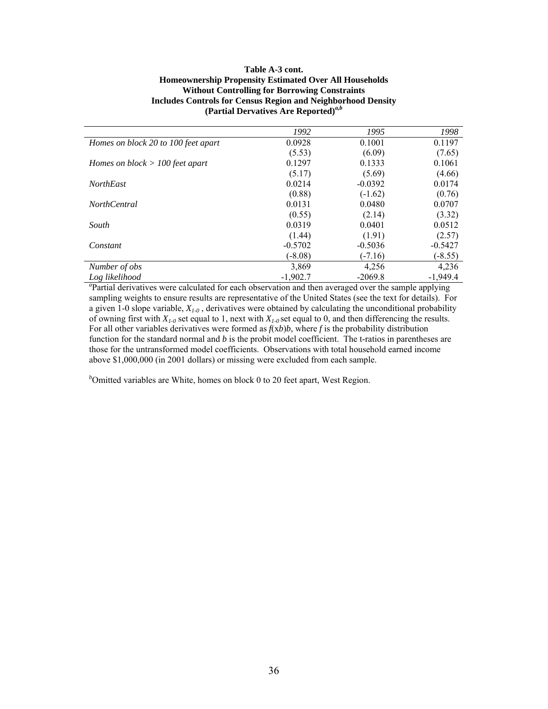#### **Table A-3 cont. Homeownership Propensity Estimated Over All Households Without Controlling for Borrowing Constraints Includes Controls for Census Region and Neighborhood Density (Partial Dervatives Are Reported)***a,b*

|                                     | 1992       | 1995      | 1998       |
|-------------------------------------|------------|-----------|------------|
| Homes on block 20 to 100 feet apart | 0.0928     | 0.1001    | 0.1197     |
|                                     | (5.53)     | (6.09)    | (7.65)     |
| Homes on $block > 100$ feet apart   | 0.1297     | 0.1333    | 0.1061     |
|                                     | (5.17)     | (5.69)    | (4.66)     |
| <b>NorthEast</b>                    | 0.0214     | $-0.0392$ | 0.0174     |
|                                     | (0.88)     | $(-1.62)$ | (0.76)     |
| <b>NorthCentral</b>                 | 0.0131     | 0.0480    | 0.0707     |
|                                     | (0.55)     | (2.14)    | (3.32)     |
| South                               | 0.0319     | 0.0401    | 0.0512     |
|                                     | (1.44)     | (1.91)    | (2.57)     |
| Constant                            | $-0.5702$  | $-0.5036$ | $-0.5427$  |
|                                     | $(-8.08)$  | $(-7.16)$ | $(-8.55)$  |
| Number of obs                       | 3,869      | 4,256     | 4,236      |
| Log likelihood                      | $-1,902.7$ | $-2069.8$ | $-1,949.4$ |

<sup>a</sup>Partial derivatives were calculated for each observation and then averaged over the sample applying sampling weights to ensure results are representative of the United States (see the text for details). For a given 1-0 slope variable, *X1-0* , derivatives were obtained by calculating the unconditional probability of owning first with *X1-0* set equal to 1, next with *X1-0* set equal to 0, and then differencing the results. For all other variables derivatives were formed as  $f(xb)b$ , where  $f$  is the probability distribution function for the standard normal and *b* is the probit model coefficient. The t-ratios in parentheses are those for the untransformed model coefficients. Observations with total household earned income above \$1,000,000 (in 2001 dollars) or missing were excluded from each sample.

*b* Omitted variables are White, homes on block 0 to 20 feet apart, West Region.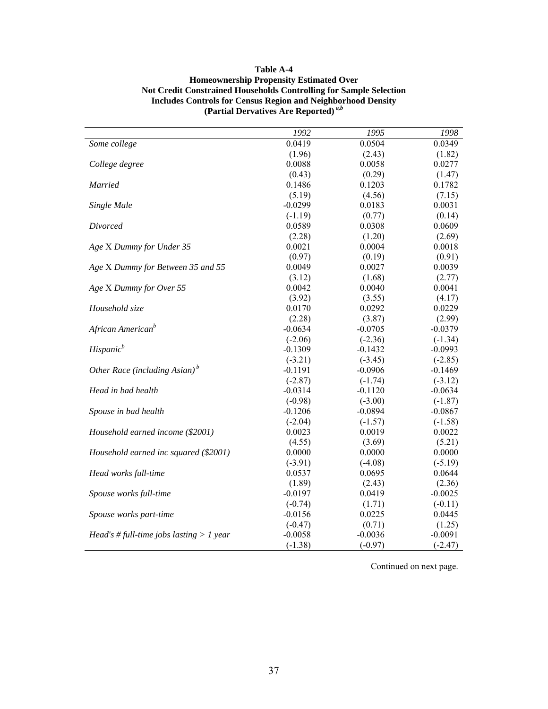### **Table A-4 Homeownership Propensity Estimated Over Not Credit Constrained Households Controlling for Sample Selection Includes Controls for Census Region and Neighborhood Density (Partial Dervatives Are Reported)** *a,b*

|                                            | 1992      | 1995      | 1998      |
|--------------------------------------------|-----------|-----------|-----------|
| Some college                               | 0.0419    | 0.0504    | 0.0349    |
|                                            | (1.96)    | (2.43)    | (1.82)    |
| College degree                             | 0.0088    | 0.0058    | 0.0277    |
|                                            | (0.43)    | (0.29)    | (1.47)    |
| Married                                    | 0.1486    | 0.1203    | 0.1782    |
|                                            | (5.19)    | (4.56)    | (7.15)    |
| Single Male                                | $-0.0299$ | 0.0183    | 0.0031    |
|                                            | $(-1.19)$ | (0.77)    | (0.14)    |
| Divorced                                   | 0.0589    | 0.0308    | 0.0609    |
|                                            | (2.28)    | (1.20)    | (2.69)    |
| Age X Dummy for Under 35                   | 0.0021    | 0.0004    | 0.0018    |
|                                            | (0.97)    | (0.19)    | (0.91)    |
| Age X Dummy for Between 35 and 55          | 0.0049    | 0.0027    | 0.0039    |
|                                            | (3.12)    | (1.68)    | (2.77)    |
| Age X Dummy for Over 55                    | 0.0042    | 0.0040    | 0.0041    |
|                                            | (3.92)    | (3.55)    | (4.17)    |
| Household size                             | 0.0170    | 0.0292    | 0.0229    |
|                                            | (2.28)    | (3.87)    | (2.99)    |
| African American <sup>b</sup>              | $-0.0634$ | $-0.0705$ | $-0.0379$ |
|                                            | $(-2.06)$ | $(-2.36)$ | $(-1.34)$ |
| Hispanic <sup>b</sup>                      | $-0.1309$ | $-0.1432$ | $-0.0993$ |
|                                            | $(-3.21)$ | $(-3.45)$ | $(-2.85)$ |
| Other Race (including Asian) <sup>b</sup>  | $-0.1191$ | $-0.0906$ | $-0.1469$ |
|                                            | $(-2.87)$ | $(-1.74)$ | $(-3.12)$ |
| Head in bad health                         | $-0.0314$ | $-0.1120$ | $-0.0634$ |
|                                            | $(-0.98)$ | $(-3.00)$ | $(-1.87)$ |
| Spouse in bad health                       | $-0.1206$ | $-0.0894$ | $-0.0867$ |
|                                            | $(-2.04)$ | $(-1.57)$ | $(-1.58)$ |
| Household earned income (\$2001)           | 0.0023    | 0.0019    | 0.0022    |
|                                            | (4.55)    | (3.69)    | (5.21)    |
| Household earned inc squared (\$2001)      | 0.0000    | 0.0000    | 0.0000    |
|                                            | $(-3.91)$ | $(-4.08)$ | $(-5.19)$ |
| Head works full-time                       | 0.0537    | 0.0695    | 0.0644    |
|                                            | (1.89)    | (2.43)    | (2.36)    |
| Spouse works full-time                     | $-0.0197$ | 0.0419    | $-0.0025$ |
|                                            | $(-0.74)$ | (1.71)    | $(-0.11)$ |
| Spouse works part-time                     | $-0.0156$ | 0.0225    | 0.0445    |
|                                            | $(-0.47)$ | (0.71)    | (1.25)    |
| Head's # full-time jobs lasting $> 1$ year | $-0.0058$ | $-0.0036$ | $-0.0091$ |
|                                            | $(-1.38)$ | $(-0.97)$ | $(-2.47)$ |

Continued on next page.